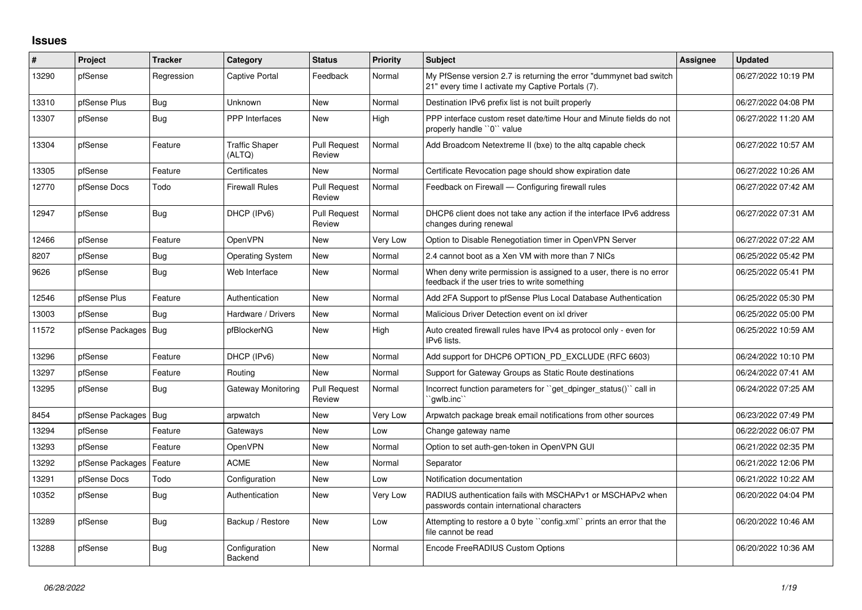## **Issues**

| #     | Project                | Tracker    | Category                        | <b>Status</b>                 | <b>Priority</b> | <b>Subject</b>                                                                                                          | <b>Assignee</b> | <b>Updated</b>      |
|-------|------------------------|------------|---------------------------------|-------------------------------|-----------------|-------------------------------------------------------------------------------------------------------------------------|-----------------|---------------------|
| 13290 | pfSense                | Regression | <b>Captive Portal</b>           | Feedback                      | Normal          | My PfSense version 2.7 is returning the error "dummynet bad switch<br>21" every time I activate my Captive Portals (7). |                 | 06/27/2022 10:19 PM |
| 13310 | pfSense Plus           | <b>Bug</b> | Unknown                         | <b>New</b>                    | Normal          | Destination IPv6 prefix list is not built properly                                                                      |                 | 06/27/2022 04:08 PM |
| 13307 | pfSense                | <b>Bug</b> | <b>PPP</b> Interfaces           | <b>New</b>                    | High            | PPP interface custom reset date/time Hour and Minute fields do not<br>properly handle "0" value                         |                 | 06/27/2022 11:20 AM |
| 13304 | pfSense                | Feature    | <b>Traffic Shaper</b><br>(ALTQ) | Pull Request<br>Review        | Normal          | Add Broadcom Netextreme II (bxe) to the altg capable check                                                              |                 | 06/27/2022 10:57 AM |
| 13305 | pfSense                | Feature    | Certificates                    | <b>New</b>                    | Normal          | Certificate Revocation page should show expiration date                                                                 |                 | 06/27/2022 10:26 AM |
| 12770 | pfSense Docs           | Todo       | <b>Firewall Rules</b>           | <b>Pull Request</b><br>Review | Normal          | Feedback on Firewall - Configuring firewall rules                                                                       |                 | 06/27/2022 07:42 AM |
| 12947 | pfSense                | <b>Bug</b> | DHCP (IPv6)                     | <b>Pull Request</b><br>Review | Normal          | DHCP6 client does not take any action if the interface IPv6 address<br>changes during renewal                           |                 | 06/27/2022 07:31 AM |
| 12466 | pfSense                | Feature    | OpenVPN                         | <b>New</b>                    | Very Low        | Option to Disable Renegotiation timer in OpenVPN Server                                                                 |                 | 06/27/2022 07:22 AM |
| 8207  | pfSense                | <b>Bug</b> | <b>Operating System</b>         | <b>New</b>                    | Normal          | 2.4 cannot boot as a Xen VM with more than 7 NICs                                                                       |                 | 06/25/2022 05:42 PM |
| 9626  | pfSense                | <b>Bug</b> | Web Interface                   | <b>New</b>                    | Normal          | When deny write permission is assigned to a user, there is no error<br>feedback if the user tries to write something    |                 | 06/25/2022 05:41 PM |
| 12546 | pfSense Plus           | Feature    | Authentication                  | <b>New</b>                    | Normal          | Add 2FA Support to pfSense Plus Local Database Authentication                                                           |                 | 06/25/2022 05:30 PM |
| 13003 | pfSense                | Bug        | Hardware / Drivers              | <b>New</b>                    | Normal          | Malicious Driver Detection event on ixl driver                                                                          |                 | 06/25/2022 05:00 PM |
| 11572 | pfSense Packages   Bug |            | pfBlockerNG                     | <b>New</b>                    | High            | Auto created firewall rules have IPv4 as protocol only - even for<br>IPv6 lists.                                        |                 | 06/25/2022 10:59 AM |
| 13296 | pfSense                | Feature    | DHCP (IPv6)                     | <b>New</b>                    | Normal          | Add support for DHCP6 OPTION PD EXCLUDE (RFC 6603)                                                                      |                 | 06/24/2022 10:10 PM |
| 13297 | pfSense                | Feature    | Routing                         | <b>New</b>                    | Normal          | Support for Gateway Groups as Static Route destinations                                                                 |                 | 06/24/2022 07:41 AM |
| 13295 | pfSense                | Bug        | <b>Gateway Monitoring</b>       | <b>Pull Request</b><br>Review | Normal          | Incorrect function parameters for "get_dpinger_status()" call in<br>`qwlb.inc                                           |                 | 06/24/2022 07:25 AM |
| 8454  | pfSense Packages       | Bua        | arpwatch                        | <b>New</b>                    | Very Low        | Arpwatch package break email notifications from other sources                                                           |                 | 06/23/2022 07:49 PM |
| 13294 | pfSense                | Feature    | Gateways                        | <b>New</b>                    | Low             | Change gateway name                                                                                                     |                 | 06/22/2022 06:07 PM |
| 13293 | pfSense                | Feature    | OpenVPN                         | <b>New</b>                    | Normal          | Option to set auth-gen-token in OpenVPN GUI                                                                             |                 | 06/21/2022 02:35 PM |
| 13292 | pfSense Packages       | Feature    | <b>ACME</b>                     | New                           | Normal          | Separator                                                                                                               |                 | 06/21/2022 12:06 PM |
| 13291 | pfSense Docs           | Todo       | Configuration                   | <b>New</b>                    | Low             | Notification documentation                                                                                              |                 | 06/21/2022 10:22 AM |
| 10352 | pfSense                | Bug        | Authentication                  | <b>New</b>                    | Very Low        | RADIUS authentication fails with MSCHAPv1 or MSCHAPv2 when<br>passwords contain international characters                |                 | 06/20/2022 04:04 PM |
| 13289 | pfSense                | <b>Bug</b> | Backup / Restore                | <b>New</b>                    | Low             | Attempting to restore a 0 byte "config.xml" prints an error that the<br>file cannot be read                             |                 | 06/20/2022 10:46 AM |
| 13288 | pfSense                | <b>Bug</b> | Configuration<br>Backend        | <b>New</b>                    | Normal          | Encode FreeRADIUS Custom Options                                                                                        |                 | 06/20/2022 10:36 AM |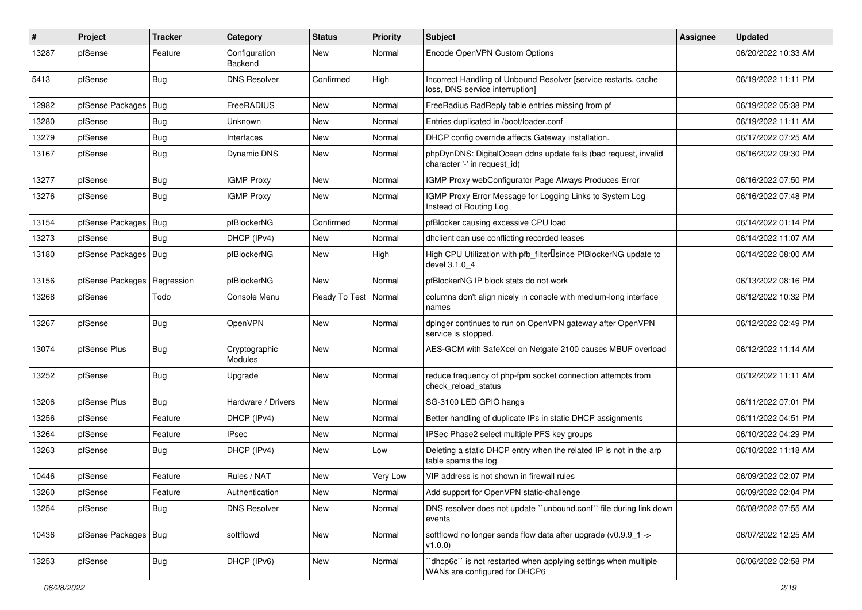| #     | <b>Project</b>         | <b>Tracker</b> | Category                 | <b>Status</b>          | <b>Priority</b> | <b>Subject</b>                                                                                     | <b>Assignee</b> | <b>Updated</b>      |
|-------|------------------------|----------------|--------------------------|------------------------|-----------------|----------------------------------------------------------------------------------------------------|-----------------|---------------------|
| 13287 | pfSense                | Feature        | Configuration<br>Backend | New                    | Normal          | Encode OpenVPN Custom Options                                                                      |                 | 06/20/2022 10:33 AM |
| 5413  | pfSense                | Bug            | <b>DNS Resolver</b>      | Confirmed              | High            | Incorrect Handling of Unbound Resolver [service restarts, cache<br>loss, DNS service interruption] |                 | 06/19/2022 11:11 PM |
| 12982 | pfSense Packages       | Bug            | FreeRADIUS               | <b>New</b>             | Normal          | FreeRadius RadReply table entries missing from pf                                                  |                 | 06/19/2022 05:38 PM |
| 13280 | pfSense                | <b>Bug</b>     | Unknown                  | New                    | Normal          | Entries duplicated in /boot/loader.conf                                                            |                 | 06/19/2022 11:11 AM |
| 13279 | pfSense                | Bug            | Interfaces               | New                    | Normal          | DHCP config override affects Gateway installation.                                                 |                 | 06/17/2022 07:25 AM |
| 13167 | pfSense                | Bug            | Dynamic DNS              | <b>New</b>             | Normal          | phpDynDNS: DigitalOcean ddns update fails (bad request, invalid<br>character '-' in request_id)    |                 | 06/16/2022 09:30 PM |
| 13277 | pfSense                | Bug            | <b>IGMP Proxy</b>        | <b>New</b>             | Normal          | IGMP Proxy webConfigurator Page Always Produces Error                                              |                 | 06/16/2022 07:50 PM |
| 13276 | pfSense                | Bug            | <b>IGMP Proxy</b>        | New                    | Normal          | IGMP Proxy Error Message for Logging Links to System Log<br>Instead of Routing Log                 |                 | 06/16/2022 07:48 PM |
| 13154 | pfSense Packages       | Bug            | pfBlockerNG              | Confirmed              | Normal          | pfBlocker causing excessive CPU load                                                               |                 | 06/14/2022 01:14 PM |
| 13273 | pfSense                | <b>Bug</b>     | DHCP (IPv4)              | New                    | Normal          | dhclient can use conflicting recorded leases                                                       |                 | 06/14/2022 11:07 AM |
| 13180 | pfSense Packages   Bug |                | pfBlockerNG              | New                    | High            | High CPU Utilization with pfb filter Isince PfBlockerNG update to<br>devel 3.1.0 4                 |                 | 06/14/2022 08:00 AM |
| 13156 | pfSense Packages       | Regression     | pfBlockerNG              | <b>New</b>             | Normal          | pfBlockerNG IP block stats do not work                                                             |                 | 06/13/2022 08:16 PM |
| 13268 | pfSense                | Todo           | Console Menu             | Ready To Test   Normal |                 | columns don't align nicely in console with medium-long interface<br>names                          |                 | 06/12/2022 10:32 PM |
| 13267 | pfSense                | Bug            | OpenVPN                  | New                    | Normal          | dpinger continues to run on OpenVPN gateway after OpenVPN<br>service is stopped.                   |                 | 06/12/2022 02:49 PM |
| 13074 | pfSense Plus           | Bug            | Cryptographic<br>Modules | <b>New</b>             | Normal          | AES-GCM with SafeXcel on Netgate 2100 causes MBUF overload                                         |                 | 06/12/2022 11:14 AM |
| 13252 | pfSense                | <b>Bug</b>     | Upgrade                  | <b>New</b>             | Normal          | reduce frequency of php-fpm socket connection attempts from<br>check reload status                 |                 | 06/12/2022 11:11 AM |
| 13206 | pfSense Plus           | Bug            | Hardware / Drivers       | <b>New</b>             | Normal          | SG-3100 LED GPIO hangs                                                                             |                 | 06/11/2022 07:01 PM |
| 13256 | pfSense                | Feature        | DHCP (IPv4)              | <b>New</b>             | Normal          | Better handling of duplicate IPs in static DHCP assignments                                        |                 | 06/11/2022 04:51 PM |
| 13264 | pfSense                | Feature        | <b>IPsec</b>             | New                    | Normal          | IPSec Phase2 select multiple PFS key groups                                                        |                 | 06/10/2022 04:29 PM |
| 13263 | pfSense                | <b>Bug</b>     | DHCP (IPv4)              | New                    | Low             | Deleting a static DHCP entry when the related IP is not in the arp<br>table spams the log          |                 | 06/10/2022 11:18 AM |
| 10446 | pfSense                | Feature        | Rules / NAT              | New                    | Very Low        | VIP address is not shown in firewall rules                                                         |                 | 06/09/2022 02:07 PM |
| 13260 | pfSense                | Feature        | Authentication           | New                    | Normal          | Add support for OpenVPN static-challenge                                                           |                 | 06/09/2022 02:04 PM |
| 13254 | pfSense                | Bug            | <b>DNS Resolver</b>      | New                    | Normal          | DNS resolver does not update "unbound.conf" file during link down<br>events                        |                 | 06/08/2022 07:55 AM |
| 10436 | pfSense Packages       | Bug            | softflowd                | New                    | Normal          | softflowd no longer sends flow data after upgrade (v0.9.9_1 -><br>v1.0.0                           |                 | 06/07/2022 12:25 AM |
| 13253 | pfSense                | Bug            | DHCP (IPv6)              | New                    | Normal          | 'dhcp6c'' is not restarted when applying settings when multiple<br>WANs are configured for DHCP6   |                 | 06/06/2022 02:58 PM |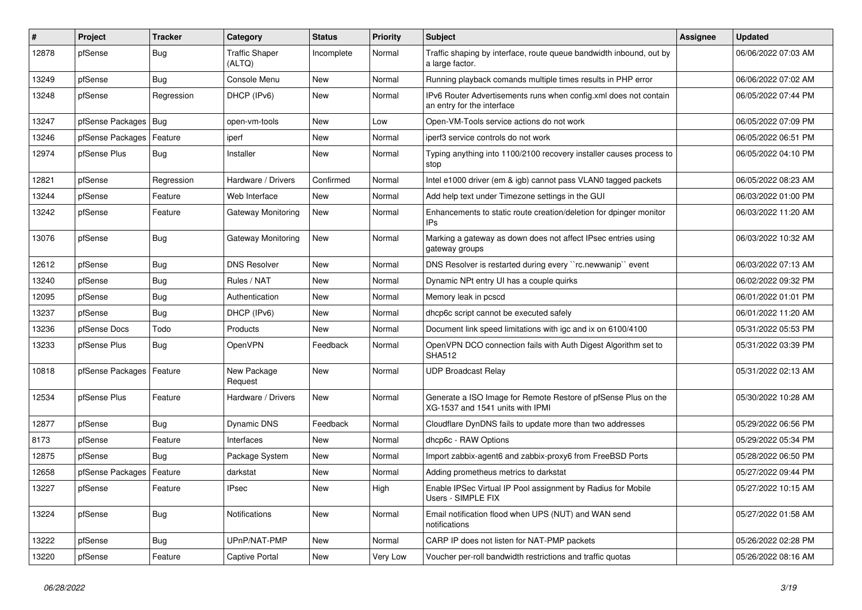| #     | Project                | <b>Tracker</b> | Category                        | <b>Status</b> | <b>Priority</b> | <b>Subject</b>                                                                                     | Assignee | <b>Updated</b>      |
|-------|------------------------|----------------|---------------------------------|---------------|-----------------|----------------------------------------------------------------------------------------------------|----------|---------------------|
| 12878 | pfSense                | <b>Bug</b>     | <b>Traffic Shaper</b><br>(ALTQ) | Incomplete    | Normal          | Traffic shaping by interface, route queue bandwidth inbound, out by<br>a large factor.             |          | 06/06/2022 07:03 AM |
| 13249 | pfSense                | Bug            | Console Menu                    | <b>New</b>    | Normal          | Running playback comands multiple times results in PHP error                                       |          | 06/06/2022 07:02 AM |
| 13248 | pfSense                | Regression     | DHCP (IPv6)                     | New           | Normal          | IPv6 Router Advertisements runs when config.xml does not contain<br>an entry for the interface     |          | 06/05/2022 07:44 PM |
| 13247 | pfSense Packages   Bug |                | open-vm-tools                   | New           | Low             | Open-VM-Tools service actions do not work                                                          |          | 06/05/2022 07:09 PM |
| 13246 | pfSense Packages       | Feature        | iperf                           | New           | Normal          | iperf3 service controls do not work                                                                |          | 06/05/2022 06:51 PM |
| 12974 | pfSense Plus           | Bug            | Installer                       | New           | Normal          | Typing anything into 1100/2100 recovery installer causes process to<br>stop                        |          | 06/05/2022 04:10 PM |
| 12821 | pfSense                | Regression     | Hardware / Drivers              | Confirmed     | Normal          | Intel e1000 driver (em & igb) cannot pass VLAN0 tagged packets                                     |          | 06/05/2022 08:23 AM |
| 13244 | pfSense                | Feature        | Web Interface                   | New           | Normal          | Add help text under Timezone settings in the GUI                                                   |          | 06/03/2022 01:00 PM |
| 13242 | pfSense                | Feature        | Gateway Monitoring              | New           | Normal          | Enhancements to static route creation/deletion for dpinger monitor<br>IPs.                         |          | 06/03/2022 11:20 AM |
| 13076 | pfSense                | Bug            | Gateway Monitoring              | New           | Normal          | Marking a gateway as down does not affect IPsec entries using<br>gateway groups                    |          | 06/03/2022 10:32 AM |
| 12612 | pfSense                | <b>Bug</b>     | <b>DNS Resolver</b>             | <b>New</b>    | Normal          | DNS Resolver is restarted during every "rc.newwanip" event                                         |          | 06/03/2022 07:13 AM |
| 13240 | pfSense                | <b>Bug</b>     | Rules / NAT                     | New           | Normal          | Dynamic NPt entry UI has a couple quirks                                                           |          | 06/02/2022 09:32 PM |
| 12095 | pfSense                | <b>Bug</b>     | Authentication                  | New           | Normal          | Memory leak in pcscd                                                                               |          | 06/01/2022 01:01 PM |
| 13237 | pfSense                | <b>Bug</b>     | DHCP (IPv6)                     | New           | Normal          | dhcp6c script cannot be executed safely                                                            |          | 06/01/2022 11:20 AM |
| 13236 | pfSense Docs           | Todo           | Products                        | New           | Normal          | Document link speed limitations with igc and ix on 6100/4100                                       |          | 05/31/2022 05:53 PM |
| 13233 | pfSense Plus           | <b>Bug</b>     | OpenVPN                         | Feedback      | Normal          | OpenVPN DCO connection fails with Auth Digest Algorithm set to<br><b>SHA512</b>                    |          | 05/31/2022 03:39 PM |
| 10818 | pfSense Packages       | Feature        | New Package<br>Request          | <b>New</b>    | Normal          | <b>UDP Broadcast Relay</b>                                                                         |          | 05/31/2022 02:13 AM |
| 12534 | pfSense Plus           | Feature        | Hardware / Drivers              | <b>New</b>    | Normal          | Generate a ISO Image for Remote Restore of pfSense Plus on the<br>XG-1537 and 1541 units with IPMI |          | 05/30/2022 10:28 AM |
| 12877 | pfSense                | Bug            | <b>Dynamic DNS</b>              | Feedback      | Normal          | Cloudflare DynDNS fails to update more than two addresses                                          |          | 05/29/2022 06:56 PM |
| 8173  | pfSense                | Feature        | Interfaces                      | New           | Normal          | dhcp6c - RAW Options                                                                               |          | 05/29/2022 05:34 PM |
| 12875 | pfSense                | <b>Bug</b>     | Package System                  | <b>New</b>    | Normal          | Import zabbix-agent6 and zabbix-proxy6 from FreeBSD Ports                                          |          | 05/28/2022 06:50 PM |
| 12658 | pfSense Packages       | Feature        | darkstat                        | New           | Normal          | Adding prometheus metrics to darkstat                                                              |          | 05/27/2022 09:44 PM |
| 13227 | pfSense                | Feature        | <b>IPsec</b>                    | New           | High            | Enable IPSec Virtual IP Pool assignment by Radius for Mobile<br>Users - SIMPLE FIX                 |          | 05/27/2022 10:15 AM |
| 13224 | pfSense                | <b>Bug</b>     | Notifications                   | New           | Normal          | Email notification flood when UPS (NUT) and WAN send<br>notifications                              |          | 05/27/2022 01:58 AM |
| 13222 | pfSense                | <b>Bug</b>     | UPnP/NAT-PMP                    | New           | Normal          | CARP IP does not listen for NAT-PMP packets                                                        |          | 05/26/2022 02:28 PM |
| 13220 | pfSense                | Feature        | <b>Captive Portal</b>           | New           | Very Low        | Voucher per-roll bandwidth restrictions and traffic quotas                                         |          | 05/26/2022 08:16 AM |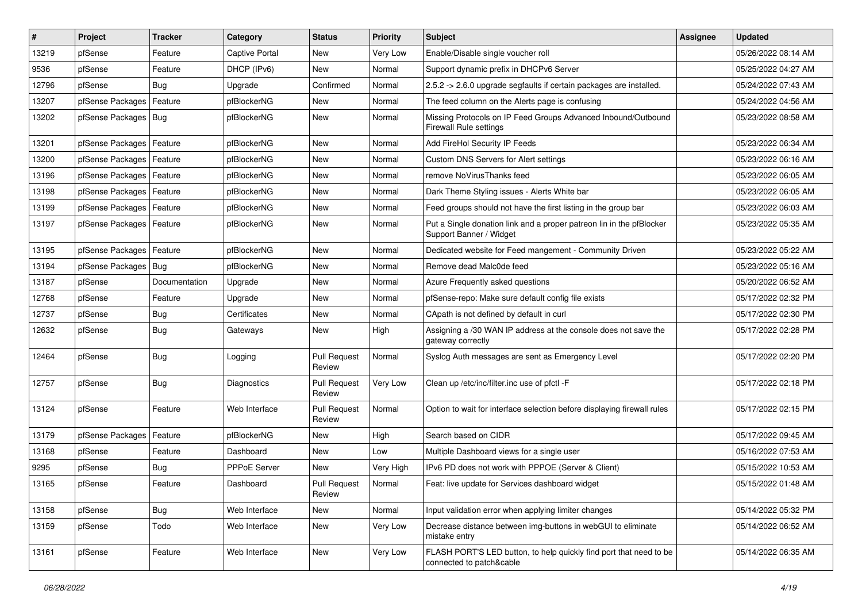| #     | Project                    | <b>Tracker</b> | Category            | <b>Status</b>                 | <b>Priority</b> | <b>Subject</b>                                                                                  | <b>Assignee</b> | Updated             |
|-------|----------------------------|----------------|---------------------|-------------------------------|-----------------|-------------------------------------------------------------------------------------------------|-----------------|---------------------|
| 13219 | pfSense                    | Feature        | Captive Portal      | <b>New</b>                    | Very Low        | Enable/Disable single voucher roll                                                              |                 | 05/26/2022 08:14 AM |
| 9536  | pfSense                    | Feature        | DHCP (IPv6)         | New                           | Normal          | Support dynamic prefix in DHCPv6 Server                                                         |                 | 05/25/2022 04:27 AM |
| 12796 | pfSense                    | Bug            | Upgrade             | Confirmed                     | Normal          | 2.5.2 -> 2.6.0 upgrade segfaults if certain packages are installed.                             |                 | 05/24/2022 07:43 AM |
| 13207 | pfSense Packages           | Feature        | pfBlockerNG         | <b>New</b>                    | Normal          | The feed column on the Alerts page is confusing                                                 |                 | 05/24/2022 04:56 AM |
| 13202 | pfSense Packages   Bug     |                | pfBlockerNG         | <b>New</b>                    | Normal          | Missing Protocols on IP Feed Groups Advanced Inbound/Outbound<br><b>Firewall Rule settings</b>  |                 | 05/23/2022 08:58 AM |
| 13201 | pfSense Packages   Feature |                | pfBlockerNG         | <b>New</b>                    | Normal          | Add FireHol Security IP Feeds                                                                   |                 | 05/23/2022 06:34 AM |
| 13200 | pfSense Packages           | Feature        | pfBlockerNG         | <b>New</b>                    | Normal          | Custom DNS Servers for Alert settings                                                           |                 | 05/23/2022 06:16 AM |
| 13196 | pfSense Packages           | Feature        | pfBlockerNG         | New                           | Normal          | remove NoVirusThanks feed                                                                       |                 | 05/23/2022 06:05 AM |
| 13198 | pfSense Packages           | Feature        | pfBlockerNG         | <b>New</b>                    | Normal          | Dark Theme Styling issues - Alerts White bar                                                    |                 | 05/23/2022 06:05 AM |
| 13199 | pfSense Packages           | Feature        | pfBlockerNG         | New                           | Normal          | Feed groups should not have the first listing in the group bar                                  |                 | 05/23/2022 06:03 AM |
| 13197 | pfSense Packages   Feature |                | pfBlockerNG         | <b>New</b>                    | Normal          | Put a Single donation link and a proper patreon lin in the pfBlocker<br>Support Banner / Widget |                 | 05/23/2022 05:35 AM |
| 13195 | pfSense Packages           | Feature        | pfBlockerNG         | <b>New</b>                    | Normal          | Dedicated website for Feed mangement - Community Driven                                         |                 | 05/23/2022 05:22 AM |
| 13194 | pfSense Packages   Bug     |                | pfBlockerNG         | New                           | Normal          | Remove dead Malc0de feed                                                                        |                 | 05/23/2022 05:16 AM |
| 13187 | pfSense                    | Documentation  | Upgrade             | <b>New</b>                    | Normal          | Azure Frequently asked questions                                                                |                 | 05/20/2022 06:52 AM |
| 12768 | pfSense                    | Feature        | Upgrade             | New                           | Normal          | pfSense-repo: Make sure default config file exists                                              |                 | 05/17/2022 02:32 PM |
| 12737 | pfSense                    | Bug            | Certificates        | <b>New</b>                    | Normal          | CApath is not defined by default in curl                                                        |                 | 05/17/2022 02:30 PM |
| 12632 | pfSense                    | <b>Bug</b>     | Gateways            | New                           | High            | Assigning a /30 WAN IP address at the console does not save the<br>gateway correctly            |                 | 05/17/2022 02:28 PM |
| 12464 | pfSense                    | <b>Bug</b>     | Logging             | <b>Pull Request</b><br>Review | Normal          | Syslog Auth messages are sent as Emergency Level                                                |                 | 05/17/2022 02:20 PM |
| 12757 | pfSense                    | <b>Bug</b>     | Diagnostics         | <b>Pull Request</b><br>Review | Very Low        | Clean up /etc/inc/filter.inc use of pfctl -F                                                    |                 | 05/17/2022 02:18 PM |
| 13124 | pfSense                    | Feature        | Web Interface       | <b>Pull Request</b><br>Review | Normal          | Option to wait for interface selection before displaying firewall rules                         |                 | 05/17/2022 02:15 PM |
| 13179 | pfSense Packages           | Feature        | pfBlockerNG         | <b>New</b>                    | High            | Search based on CIDR                                                                            |                 | 05/17/2022 09:45 AM |
| 13168 | pfSense                    | Feature        | Dashboard           | New                           | Low             | Multiple Dashboard views for a single user                                                      |                 | 05/16/2022 07:53 AM |
| 9295  | pfSense                    | <b>Bug</b>     | <b>PPPoE Server</b> | <b>New</b>                    | Very High       | IPv6 PD does not work with PPPOE (Server & Client)                                              |                 | 05/15/2022 10:53 AM |
| 13165 | pfSense                    | Feature        | Dashboard           | <b>Pull Request</b><br>Review | Normal          | Feat: live update for Services dashboard widget                                                 |                 | 05/15/2022 01:48 AM |
| 13158 | pfSense                    | Bug            | Web Interface       | <b>New</b>                    | Normal          | Input validation error when applying limiter changes                                            |                 | 05/14/2022 05:32 PM |
| 13159 | pfSense                    | Todo           | Web Interface       | New                           | Very Low        | Decrease distance between img-buttons in webGUI to eliminate<br>mistake entry                   |                 | 05/14/2022 06:52 AM |
| 13161 | pfSense                    | Feature        | Web Interface       | New                           | Very Low        | FLASH PORT'S LED button, to help quickly find port that need to be<br>connected to patch&cable  |                 | 05/14/2022 06:35 AM |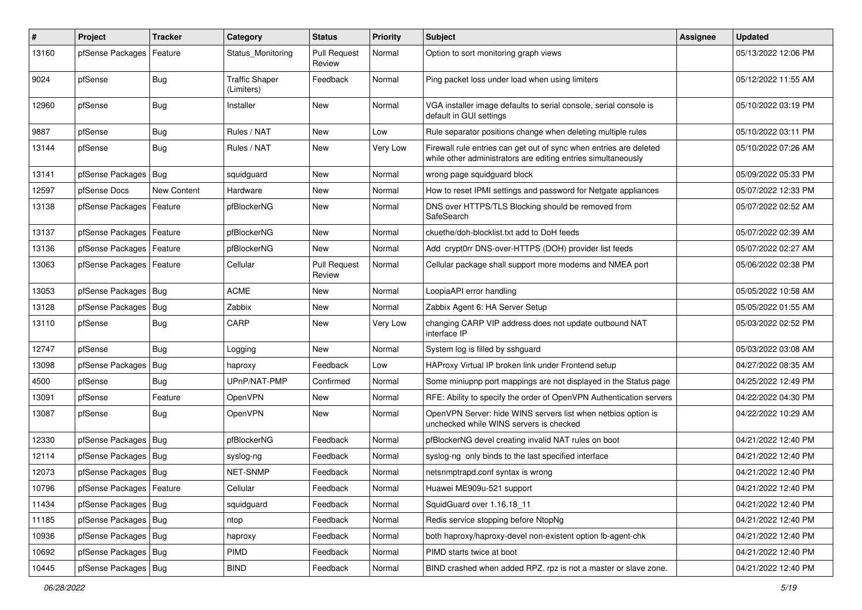| $\vert$ # | Project                    | <b>Tracker</b> | Category                            | <b>Status</b>                 | <b>Priority</b> | <b>Subject</b>                                                                                                                      | Assignee | <b>Updated</b>      |
|-----------|----------------------------|----------------|-------------------------------------|-------------------------------|-----------------|-------------------------------------------------------------------------------------------------------------------------------------|----------|---------------------|
| 13160     | pfSense Packages           | Feature        | Status Monitoring                   | <b>Pull Request</b><br>Review | Normal          | Option to sort monitoring graph views                                                                                               |          | 05/13/2022 12:06 PM |
| 9024      | pfSense                    | <b>Bug</b>     | <b>Traffic Shaper</b><br>(Limiters) | Feedback                      | Normal          | Ping packet loss under load when using limiters                                                                                     |          | 05/12/2022 11:55 AM |
| 12960     | pfSense                    | Bug            | Installer                           | <b>New</b>                    | Normal          | VGA installer image defaults to serial console, serial console is<br>default in GUI settings                                        |          | 05/10/2022 03:19 PM |
| 9887      | pfSense                    | Bug            | Rules / NAT                         | <b>New</b>                    | Low             | Rule separator positions change when deleting multiple rules                                                                        |          | 05/10/2022 03:11 PM |
| 13144     | pfSense                    | Bug            | Rules / NAT                         | <b>New</b>                    | Very Low        | Firewall rule entries can get out of sync when entries are deleted<br>while other administrators are editing entries simultaneously |          | 05/10/2022 07:26 AM |
| 13141     | pfSense Packages   Bug     |                | squidguard                          | <b>New</b>                    | Normal          | wrong page squidguard block                                                                                                         |          | 05/09/2022 05:33 PM |
| 12597     | pfSense Docs               | New Content    | Hardware                            | New                           | Normal          | How to reset IPMI settings and password for Netgate appliances                                                                      |          | 05/07/2022 12:33 PM |
| 13138     | pfSense Packages           | Feature        | pfBlockerNG                         | <b>New</b>                    | Normal          | DNS over HTTPS/TLS Blocking should be removed from<br>SafeSearch                                                                    |          | 05/07/2022 02:52 AM |
| 13137     | pfSense Packages   Feature |                | pfBlockerNG                         | New                           | Normal          | ckuethe/doh-blocklist.txt add to DoH feeds                                                                                          |          | 05/07/2022 02:39 AM |
| 13136     | pfSense Packages   Feature |                | pfBlockerNG                         | New                           | Normal          | Add crypt0rr DNS-over-HTTPS (DOH) provider list feeds                                                                               |          | 05/07/2022 02:27 AM |
| 13063     | pfSense Packages   Feature |                | Cellular                            | <b>Pull Request</b><br>Review | Normal          | Cellular package shall support more modems and NMEA port                                                                            |          | 05/06/2022 02:38 PM |
| 13053     | pfSense Packages   Bug     |                | <b>ACME</b>                         | <b>New</b>                    | Normal          | LoopiaAPI error handling                                                                                                            |          | 05/05/2022 10:58 AM |
| 13128     | pfSense Packages           | Bug            | Zabbix                              | New                           | Normal          | Zabbix Agent 6: HA Server Setup                                                                                                     |          | 05/05/2022 01:55 AM |
| 13110     | pfSense                    | Bug            | CARP                                | <b>New</b>                    | Very Low        | changing CARP VIP address does not update outbound NAT<br>interface IP                                                              |          | 05/03/2022 02:52 PM |
| 12747     | pfSense                    | Bug            | Logging                             | New                           | Normal          | System log is filled by sshguard                                                                                                    |          | 05/03/2022 03:08 AM |
| 13098     | pfSense Packages           | Bug            | haproxy                             | Feedback                      | Low             | HAProxy Virtual IP broken link under Frontend setup                                                                                 |          | 04/27/2022 08:35 AM |
| 4500      | pfSense                    | Bug            | UPnP/NAT-PMP                        | Confirmed                     | Normal          | Some miniupnp port mappings are not displayed in the Status page                                                                    |          | 04/25/2022 12:49 PM |
| 13091     | pfSense                    | Feature        | OpenVPN                             | New                           | Normal          | RFE: Ability to specify the order of OpenVPN Authentication servers                                                                 |          | 04/22/2022 04:30 PM |
| 13087     | pfSense                    | Bug            | OpenVPN                             | <b>New</b>                    | Normal          | OpenVPN Server: hide WINS servers list when netbios option is<br>unchecked while WINS servers is checked                            |          | 04/22/2022 10:29 AM |
| 12330     | pfSense Packages   Bug     |                | pfBlockerNG                         | Feedback                      | Normal          | pfBlockerNG devel creating invalid NAT rules on boot                                                                                |          | 04/21/2022 12:40 PM |
| 12114     | pfSense Packages   Bug     |                | syslog-ng                           | Feedback                      | Normal          | syslog-ng only binds to the last specified interface                                                                                |          | 04/21/2022 12:40 PM |
| 12073     | pfSense Packages   Bug     |                | NET-SNMP                            | Feedback                      | Normal          | netsnmptrapd.conf syntax is wrong                                                                                                   |          | 04/21/2022 12:40 PM |
| 10796     | pfSense Packages   Feature |                | Cellular                            | Feedback                      | Normal          | Huawei ME909u-521 support                                                                                                           |          | 04/21/2022 12:40 PM |
| 11434     | pfSense Packages   Bug     |                | squidguard                          | Feedback                      | Normal          | SquidGuard over 1.16.18 11                                                                                                          |          | 04/21/2022 12:40 PM |
| 11185     | pfSense Packages   Bug     |                | ntop                                | Feedback                      | Normal          | Redis service stopping before NtopNg                                                                                                |          | 04/21/2022 12:40 PM |
| 10936     | pfSense Packages   Bug     |                | haproxy                             | Feedback                      | Normal          | both haproxy/haproxy-devel non-existent option lb-agent-chk                                                                         |          | 04/21/2022 12:40 PM |
| 10692     | pfSense Packages   Bug     |                | PIMD                                | Feedback                      | Normal          | PIMD starts twice at boot                                                                                                           |          | 04/21/2022 12:40 PM |
| 10445     | pfSense Packages   Bug     |                | <b>BIND</b>                         | Feedback                      | Normal          | BIND crashed when added RPZ. rpz is not a master or slave zone.                                                                     |          | 04/21/2022 12:40 PM |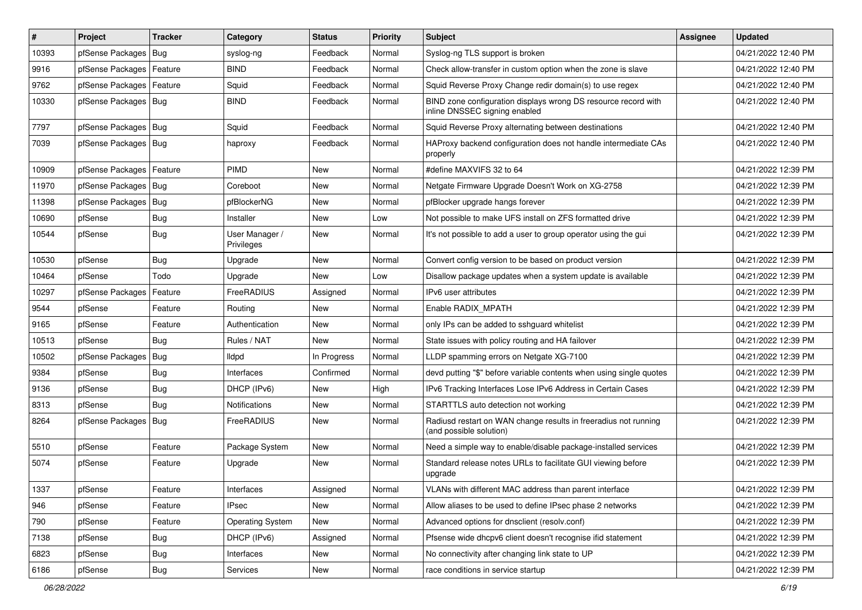| #     | Project                    | <b>Tracker</b> | Category                     | <b>Status</b> | <b>Priority</b> | <b>Subject</b>                                                                                  | Assignee | <b>Updated</b>      |
|-------|----------------------------|----------------|------------------------------|---------------|-----------------|-------------------------------------------------------------------------------------------------|----------|---------------------|
| 10393 | pfSense Packages           | Bug            | syslog-ng                    | Feedback      | Normal          | Syslog-ng TLS support is broken                                                                 |          | 04/21/2022 12:40 PM |
| 9916  | pfSense Packages   Feature |                | <b>BIND</b>                  | Feedback      | Normal          | Check allow-transfer in custom option when the zone is slave                                    |          | 04/21/2022 12:40 PM |
| 9762  | pfSense Packages           | Feature        | Squid                        | Feedback      | Normal          | Squid Reverse Proxy Change redir domain(s) to use regex                                         |          | 04/21/2022 12:40 PM |
| 10330 | pfSense Packages   Bug     |                | <b>BIND</b>                  | Feedback      | Normal          | BIND zone configuration displays wrong DS resource record with<br>inline DNSSEC signing enabled |          | 04/21/2022 12:40 PM |
| 7797  | pfSense Packages   Bug     |                | Squid                        | Feedback      | Normal          | Squid Reverse Proxy alternating between destinations                                            |          | 04/21/2022 12:40 PM |
| 7039  | pfSense Packages   Bug     |                | haproxy                      | Feedback      | Normal          | HAProxy backend configuration does not handle intermediate CAs<br>properly                      |          | 04/21/2022 12:40 PM |
| 10909 | pfSense Packages           | Feature        | PIMD                         | <b>New</b>    | Normal          | #define MAXVIFS 32 to 64                                                                        |          | 04/21/2022 12:39 PM |
| 11970 | pfSense Packages   Bug     |                | Coreboot                     | New           | Normal          | Netgate Firmware Upgrade Doesn't Work on XG-2758                                                |          | 04/21/2022 12:39 PM |
| 11398 | pfSense Packages           | Bug            | pfBlockerNG                  | <b>New</b>    | Normal          | pfBlocker upgrade hangs forever                                                                 |          | 04/21/2022 12:39 PM |
| 10690 | pfSense                    | <b>Bug</b>     | Installer                    | New           | Low             | Not possible to make UFS install on ZFS formatted drive                                         |          | 04/21/2022 12:39 PM |
| 10544 | pfSense                    | <b>Bug</b>     | User Manager /<br>Privileges | New           | Normal          | It's not possible to add a user to group operator using the gui                                 |          | 04/21/2022 12:39 PM |
| 10530 | pfSense                    | <b>Bug</b>     | Upgrade                      | <b>New</b>    | Normal          | Convert config version to be based on product version                                           |          | 04/21/2022 12:39 PM |
| 10464 | pfSense                    | Todo           | Upgrade                      | New           | Low             | Disallow package updates when a system update is available                                      |          | 04/21/2022 12:39 PM |
| 10297 | pfSense Packages           | Feature        | FreeRADIUS                   | Assigned      | Normal          | IPv6 user attributes                                                                            |          | 04/21/2022 12:39 PM |
| 9544  | pfSense                    | Feature        | Routing                      | New           | Normal          | Enable RADIX MPATH                                                                              |          | 04/21/2022 12:39 PM |
| 9165  | pfSense                    | Feature        | Authentication               | New           | Normal          | only IPs can be added to sshguard whitelist                                                     |          | 04/21/2022 12:39 PM |
| 10513 | pfSense                    | <b>Bug</b>     | Rules / NAT                  | New           | Normal          | State issues with policy routing and HA failover                                                |          | 04/21/2022 12:39 PM |
| 10502 | pfSense Packages           | Bug            | lldpd                        | In Progress   | Normal          | LLDP spamming errors on Netgate XG-7100                                                         |          | 04/21/2022 12:39 PM |
| 9384  | pfSense                    | <b>Bug</b>     | Interfaces                   | Confirmed     | Normal          | devd putting "\$" before variable contents when using single quotes                             |          | 04/21/2022 12:39 PM |
| 9136  | pfSense                    | <b>Bug</b>     | DHCP (IPv6)                  | New           | High            | IPv6 Tracking Interfaces Lose IPv6 Address in Certain Cases                                     |          | 04/21/2022 12:39 PM |
| 8313  | pfSense                    | <b>Bug</b>     | <b>Notifications</b>         | New           | Normal          | STARTTLS auto detection not working                                                             |          | 04/21/2022 12:39 PM |
| 8264  | pfSense Packages           | Bug            | FreeRADIUS                   | New           | Normal          | Radiusd restart on WAN change results in freeradius not running<br>(and possible solution)      |          | 04/21/2022 12:39 PM |
| 5510  | pfSense                    | Feature        | Package System               | New           | Normal          | Need a simple way to enable/disable package-installed services                                  |          | 04/21/2022 12:39 PM |
| 5074  | pfSense                    | Feature        | Upgrade                      | New           | Normal          | Standard release notes URLs to facilitate GUI viewing before<br>upgrade                         |          | 04/21/2022 12:39 PM |
| 1337  | pfSense                    | Feature        | Interfaces                   | Assigned      | Normal          | VLANs with different MAC address than parent interface                                          |          | 04/21/2022 12:39 PM |
| 946   | pfSense                    | Feature        | <b>IPsec</b>                 | New           | Normal          | Allow aliases to be used to define IPsec phase 2 networks                                       |          | 04/21/2022 12:39 PM |
| 790   | pfSense                    | Feature        | Operating System             | New           | Normal          | Advanced options for dnsclient (resolv.conf)                                                    |          | 04/21/2022 12:39 PM |
| 7138  | pfSense                    | <b>Bug</b>     | DHCP (IPv6)                  | Assigned      | Normal          | Pfsense wide dhcpv6 client doesn't recognise ifid statement                                     |          | 04/21/2022 12:39 PM |
| 6823  | pfSense                    | <b>Bug</b>     | Interfaces                   | New           | Normal          | No connectivity after changing link state to UP                                                 |          | 04/21/2022 12:39 PM |
| 6186  | pfSense                    | Bug            | Services                     | New           | Normal          | race conditions in service startup                                                              |          | 04/21/2022 12:39 PM |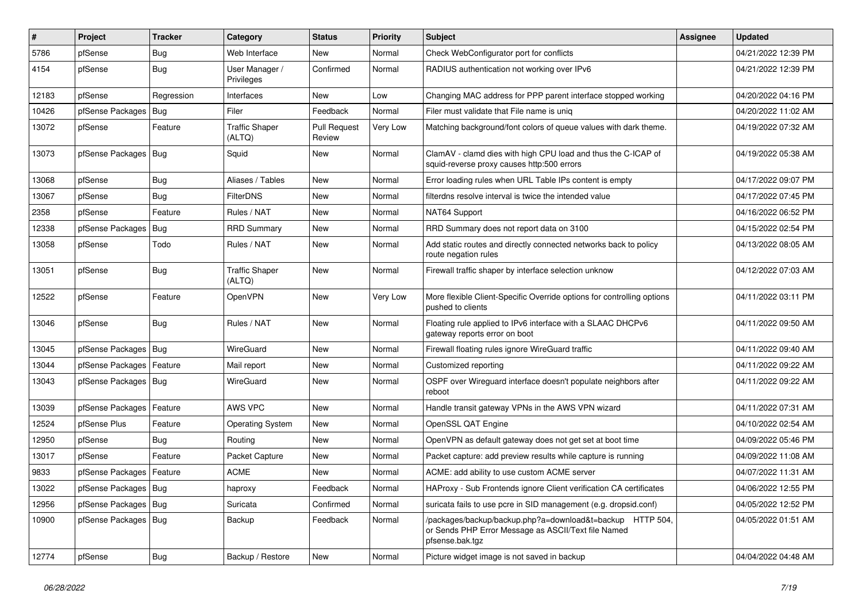| #     | Project                    | <b>Tracker</b> | Category                        | <b>Status</b>                 | <b>Priority</b> | <b>Subject</b>                                                                                                                      | Assignee | <b>Updated</b>      |
|-------|----------------------------|----------------|---------------------------------|-------------------------------|-----------------|-------------------------------------------------------------------------------------------------------------------------------------|----------|---------------------|
| 5786  | pfSense                    | Bug            | Web Interface                   | New                           | Normal          | Check WebConfigurator port for conflicts                                                                                            |          | 04/21/2022 12:39 PM |
| 4154  | pfSense                    | <b>Bug</b>     | User Manager /<br>Privileges    | Confirmed                     | Normal          | RADIUS authentication not working over IPv6                                                                                         |          | 04/21/2022 12:39 PM |
| 12183 | pfSense                    | Regression     | Interfaces                      | New                           | Low             | Changing MAC address for PPP parent interface stopped working                                                                       |          | 04/20/2022 04:16 PM |
| 10426 | pfSense Packages           | Bug            | Filer                           | Feedback                      | Normal          | Filer must validate that File name is uniq                                                                                          |          | 04/20/2022 11:02 AM |
| 13072 | pfSense                    | Feature        | <b>Traffic Shaper</b><br>(ALTQ) | <b>Pull Request</b><br>Review | Very Low        | Matching background/font colors of queue values with dark theme.                                                                    |          | 04/19/2022 07:32 AM |
| 13073 | pfSense Packages   Bug     |                | Squid                           | New                           | Normal          | ClamAV - clamd dies with high CPU load and thus the C-ICAP of<br>squid-reverse proxy causes http:500 errors                         |          | 04/19/2022 05:38 AM |
| 13068 | pfSense                    | Bug            | Aliases / Tables                | New                           | Normal          | Error loading rules when URL Table IPs content is empty                                                                             |          | 04/17/2022 09:07 PM |
| 13067 | pfSense                    | Bug            | <b>FilterDNS</b>                | New                           | Normal          | filterdns resolve interval is twice the intended value                                                                              |          | 04/17/2022 07:45 PM |
| 2358  | pfSense                    | Feature        | Rules / NAT                     | <b>New</b>                    | Normal          | NAT64 Support                                                                                                                       |          | 04/16/2022 06:52 PM |
| 12338 | pfSense Packages           | Bug            | <b>RRD Summary</b>              | New                           | Normal          | RRD Summary does not report data on 3100                                                                                            |          | 04/15/2022 02:54 PM |
| 13058 | pfSense                    | Todo           | Rules / NAT                     | New                           | Normal          | Add static routes and directly connected networks back to policy<br>route negation rules                                            |          | 04/13/2022 08:05 AM |
| 13051 | pfSense                    | Bug            | <b>Traffic Shaper</b><br>(ALTQ) | <b>New</b>                    | Normal          | Firewall traffic shaper by interface selection unknow                                                                               |          | 04/12/2022 07:03 AM |
| 12522 | pfSense                    | Feature        | OpenVPN                         | New                           | Very Low        | More flexible Client-Specific Override options for controlling options<br>pushed to clients                                         |          | 04/11/2022 03:11 PM |
| 13046 | pfSense                    | Bug            | Rules / NAT                     | <b>New</b>                    | Normal          | Floating rule applied to IPv6 interface with a SLAAC DHCPv6<br>gateway reports error on boot                                        |          | 04/11/2022 09:50 AM |
| 13045 | pfSense Packages   Bug     |                | WireGuard                       | <b>New</b>                    | Normal          | Firewall floating rules ignore WireGuard traffic                                                                                    |          | 04/11/2022 09:40 AM |
| 13044 | pfSense Packages   Feature |                | Mail report                     | <b>New</b>                    | Normal          | Customized reporting                                                                                                                |          | 04/11/2022 09:22 AM |
| 13043 | pfSense Packages   Bug     |                | WireGuard                       | New                           | Normal          | OSPF over Wireguard interface doesn't populate neighbors after<br>reboot                                                            |          | 04/11/2022 09:22 AM |
| 13039 | pfSense Packages   Feature |                | AWS VPC                         | <b>New</b>                    | Normal          | Handle transit gateway VPNs in the AWS VPN wizard                                                                                   |          | 04/11/2022 07:31 AM |
| 12524 | pfSense Plus               | Feature        | <b>Operating System</b>         | <b>New</b>                    | Normal          | OpenSSL QAT Engine                                                                                                                  |          | 04/10/2022 02:54 AM |
| 12950 | pfSense                    | Bug            | Routing                         | New                           | Normal          | OpenVPN as default gateway does not get set at boot time                                                                            |          | 04/09/2022 05:46 PM |
| 13017 | pfSense                    | Feature        | Packet Capture                  | New                           | Normal          | Packet capture: add preview results while capture is running                                                                        |          | 04/09/2022 11:08 AM |
| 9833  | pfSense Packages   Feature |                | <b>ACME</b>                     | New                           | Normal          | ACME: add ability to use custom ACME server                                                                                         |          | 04/07/2022 11:31 AM |
| 13022 | pfSense Packages   Bug     |                | haproxy                         | Feedback                      | Normal          | HAProxy - Sub Frontends ignore Client verification CA certificates                                                                  |          | 04/06/2022 12:55 PM |
| 12956 | pfSense Packages   Bug     |                | Suricata                        | Confirmed                     | Normal          | suricata fails to use pcre in SID management (e.g. dropsid.conf)                                                                    |          | 04/05/2022 12:52 PM |
| 10900 | pfSense Packages   Bug     |                | Backup                          | Feedback                      | Normal          | /packages/backup/backup.php?a=download&t=backup HTTP 504,<br>or Sends PHP Error Message as ASCII/Text file Named<br>pfsense.bak.tgz |          | 04/05/2022 01:51 AM |
| 12774 | pfSense                    | <b>Bug</b>     | Backup / Restore                | New                           | Normal          | Picture widget image is not saved in backup                                                                                         |          | 04/04/2022 04:48 AM |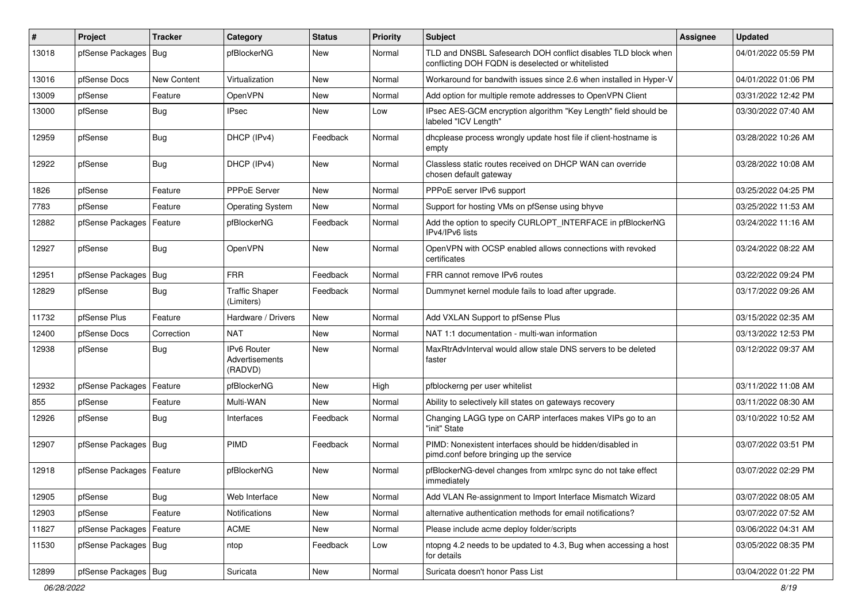| $\vert$ # | Project                    | <b>Tracker</b> | Category                                 | <b>Status</b> | <b>Priority</b> | <b>Subject</b>                                                                                                     | <b>Assignee</b> | <b>Updated</b>      |
|-----------|----------------------------|----------------|------------------------------------------|---------------|-----------------|--------------------------------------------------------------------------------------------------------------------|-----------------|---------------------|
| 13018     | pfSense Packages           | Bug            | pfBlockerNG                              | New           | Normal          | TLD and DNSBL Safesearch DOH conflict disables TLD block when<br>conflicting DOH FQDN is deselected or whitelisted |                 | 04/01/2022 05:59 PM |
| 13016     | pfSense Docs               | New Content    | Virtualization                           | <b>New</b>    | Normal          | Workaround for bandwith issues since 2.6 when installed in Hyper-V                                                 |                 | 04/01/2022 01:06 PM |
| 13009     | pfSense                    | Feature        | OpenVPN                                  | <b>New</b>    | Normal          | Add option for multiple remote addresses to OpenVPN Client                                                         |                 | 03/31/2022 12:42 PM |
| 13000     | pfSense                    | <b>Bug</b>     | <b>IPsec</b>                             | <b>New</b>    | Low             | IPsec AES-GCM encryption algorithm "Key Length" field should be<br>labeled "ICV Length"                            |                 | 03/30/2022 07:40 AM |
| 12959     | pfSense                    | <b>Bug</b>     | DHCP (IPv4)                              | Feedback      | Normal          | dhcplease process wrongly update host file if client-hostname is<br>empty                                          |                 | 03/28/2022 10:26 AM |
| 12922     | pfSense                    | <b>Bug</b>     | DHCP (IPv4)                              | <b>New</b>    | Normal          | Classless static routes received on DHCP WAN can override<br>chosen default gateway                                |                 | 03/28/2022 10:08 AM |
| 1826      | pfSense                    | Feature        | PPPoE Server                             | <b>New</b>    | Normal          | PPPoE server IPv6 support                                                                                          |                 | 03/25/2022 04:25 PM |
| 7783      | pfSense                    | Feature        | <b>Operating System</b>                  | New           | Normal          | Support for hosting VMs on pfSense using bhyve                                                                     |                 | 03/25/2022 11:53 AM |
| 12882     | pfSense Packages           | Feature        | pfBlockerNG                              | Feedback      | Normal          | Add the option to specify CURLOPT_INTERFACE in pfBlockerNG<br>IPv4/IPv6 lists                                      |                 | 03/24/2022 11:16 AM |
| 12927     | pfSense                    | <b>Bug</b>     | OpenVPN                                  | <b>New</b>    | Normal          | OpenVPN with OCSP enabled allows connections with revoked<br>certificates                                          |                 | 03/24/2022 08:22 AM |
| 12951     | pfSense Packages           | Bug            | <b>FRR</b>                               | Feedback      | Normal          | FRR cannot remove IPv6 routes                                                                                      |                 | 03/22/2022 09:24 PM |
| 12829     | pfSense                    | <b>Bug</b>     | <b>Traffic Shaper</b><br>(Limiters)      | Feedback      | Normal          | Dummynet kernel module fails to load after upgrade.                                                                |                 | 03/17/2022 09:26 AM |
| 11732     | pfSense Plus               | Feature        | Hardware / Drivers                       | <b>New</b>    | Normal          | Add VXLAN Support to pfSense Plus                                                                                  |                 | 03/15/2022 02:35 AM |
| 12400     | pfSense Docs               | Correction     | <b>NAT</b>                               | <b>New</b>    | Normal          | NAT 1:1 documentation - multi-wan information                                                                      |                 | 03/13/2022 12:53 PM |
| 12938     | pfSense                    | Bug            | IPv6 Router<br>Advertisements<br>(RADVD) | New           | Normal          | MaxRtrAdvInterval would allow stale DNS servers to be deleted<br>faster                                            |                 | 03/12/2022 09:37 AM |
| 12932     | pfSense Packages           | Feature        | pfBlockerNG                              | New           | High            | pfblockerng per user whitelist                                                                                     |                 | 03/11/2022 11:08 AM |
| 855       | pfSense                    | Feature        | Multi-WAN                                | New           | Normal          | Ability to selectively kill states on gateways recovery                                                            |                 | 03/11/2022 08:30 AM |
| 12926     | pfSense                    | <b>Bug</b>     | Interfaces                               | Feedback      | Normal          | Changing LAGG type on CARP interfaces makes VIPs go to an<br>"init" State                                          |                 | 03/10/2022 10:52 AM |
| 12907     | pfSense Packages   Bug     |                | PIMD                                     | Feedback      | Normal          | PIMD: Nonexistent interfaces should be hidden/disabled in<br>pimd.conf before bringing up the service              |                 | 03/07/2022 03:51 PM |
| 12918     | pfSense Packages   Feature |                | pfBlockerNG                              | New           | Normal          | pfBlockerNG-devel changes from xmlrpc sync do not take effect<br>immediately                                       |                 | 03/07/2022 02:29 PM |
| 12905     | pfSense                    | <b>Bug</b>     | Web Interface                            | New           | Normal          | Add VLAN Re-assignment to Import Interface Mismatch Wizard                                                         |                 | 03/07/2022 08:05 AM |
| 12903     | pfSense                    | Feature        | Notifications                            | New           | Normal          | alternative authentication methods for email notifications?                                                        |                 | 03/07/2022 07:52 AM |
| 11827     | pfSense Packages           | Feature        | ACME                                     | New           | Normal          | Please include acme deploy folder/scripts                                                                          |                 | 03/06/2022 04:31 AM |
| 11530     | pfSense Packages   Bug     |                | ntop                                     | Feedback      | Low             | ntopng 4.2 needs to be updated to 4.3, Bug when accessing a host<br>for details                                    |                 | 03/05/2022 08:35 PM |
| 12899     | pfSense Packages   Bug     |                | Suricata                                 | New           | Normal          | Suricata doesn't honor Pass List                                                                                   |                 | 03/04/2022 01:22 PM |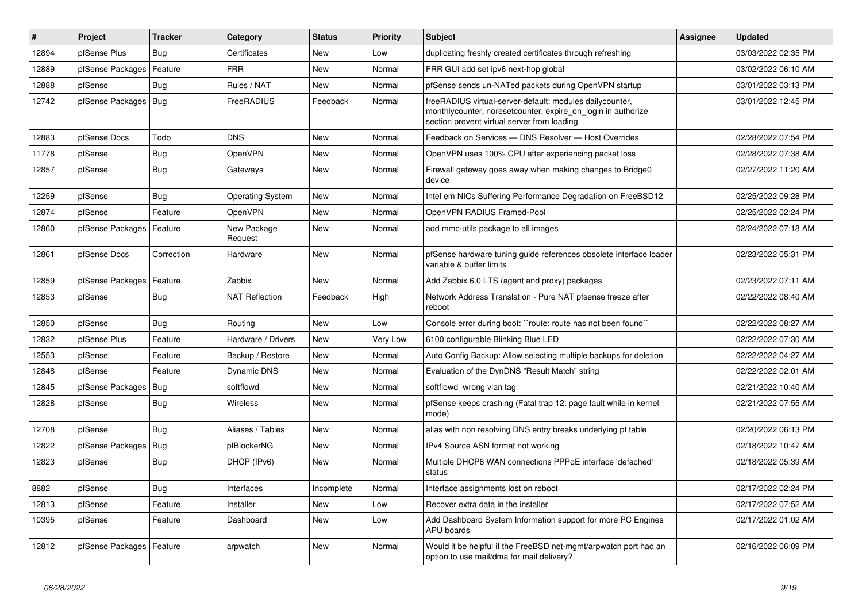| ∦     | Project                    | <b>Tracker</b> | Category                | <b>Status</b> | <b>Priority</b> | <b>Subject</b>                                                                                                                                                          | <b>Assignee</b> | <b>Updated</b>      |
|-------|----------------------------|----------------|-------------------------|---------------|-----------------|-------------------------------------------------------------------------------------------------------------------------------------------------------------------------|-----------------|---------------------|
| 12894 | pfSense Plus               | <b>Bug</b>     | Certificates            | New           | Low             | duplicating freshly created certificates through refreshing                                                                                                             |                 | 03/03/2022 02:35 PM |
| 12889 | pfSense Packages           | Feature        | <b>FRR</b>              | <b>New</b>    | Normal          | FRR GUI add set ipv6 next-hop global                                                                                                                                    |                 | 03/02/2022 06:10 AM |
| 12888 | pfSense                    | <b>Bug</b>     | Rules / NAT             | <b>New</b>    | Normal          | pfSense sends un-NATed packets during OpenVPN startup                                                                                                                   |                 | 03/01/2022 03:13 PM |
| 12742 | pfSense Packages   Bug     |                | FreeRADIUS              | Feedback      | Normal          | freeRADIUS virtual-server-default: modules dailycounter,<br>monthlycounter, noresetcounter, expire on login in authorize<br>section prevent virtual server from loading |                 | 03/01/2022 12:45 PM |
| 12883 | pfSense Docs               | Todo           | <b>DNS</b>              | <b>New</b>    | Normal          | Feedback on Services - DNS Resolver - Host Overrides                                                                                                                    |                 | 02/28/2022 07:54 PM |
| 11778 | pfSense                    | <b>Bug</b>     | OpenVPN                 | <b>New</b>    | Normal          | OpenVPN uses 100% CPU after experiencing packet loss                                                                                                                    |                 | 02/28/2022 07:38 AM |
| 12857 | pfSense                    | <b>Bug</b>     | Gateways                | New           | Normal          | Firewall gateway goes away when making changes to Bridge0<br>device                                                                                                     |                 | 02/27/2022 11:20 AM |
| 12259 | pfSense                    | Bug            | <b>Operating System</b> | <b>New</b>    | Normal          | Intel em NICs Suffering Performance Degradation on FreeBSD12                                                                                                            |                 | 02/25/2022 09:28 PM |
| 12874 | pfSense                    | Feature        | OpenVPN                 | <b>New</b>    | Normal          | OpenVPN RADIUS Framed-Pool                                                                                                                                              |                 | 02/25/2022 02:24 PM |
| 12860 | pfSense Packages           | Feature        | New Package<br>Request  | <b>New</b>    | Normal          | add mmc-utils package to all images                                                                                                                                     |                 | 02/24/2022 07:18 AM |
| 12861 | pfSense Docs               | Correction     | Hardware                | <b>New</b>    | Normal          | pfSense hardware tuning guide references obsolete interface loader<br>variable & buffer limits                                                                          |                 | 02/23/2022 05:31 PM |
| 12859 | pfSense Packages           | Feature        | Zabbix                  | New           | Normal          | Add Zabbix 6.0 LTS (agent and proxy) packages                                                                                                                           |                 | 02/23/2022 07:11 AM |
| 12853 | pfSense                    | <b>Bug</b>     | <b>NAT Reflection</b>   | Feedback      | High            | Network Address Translation - Pure NAT pfsense freeze after<br>reboot                                                                                                   |                 | 02/22/2022 08:40 AM |
| 12850 | pfSense                    | <b>Bug</b>     | Routing                 | <b>New</b>    | Low             | Console error during boot: "route: route has not been found"                                                                                                            |                 | 02/22/2022 08:27 AM |
| 12832 | pfSense Plus               | Feature        | Hardware / Drivers      | <b>New</b>    | Very Low        | 6100 configurable Blinking Blue LED                                                                                                                                     |                 | 02/22/2022 07:30 AM |
| 12553 | pfSense                    | Feature        | Backup / Restore        | <b>New</b>    | Normal          | Auto Config Backup: Allow selecting multiple backups for deletion                                                                                                       |                 | 02/22/2022 04:27 AM |
| 12848 | pfSense                    | Feature        | <b>Dynamic DNS</b>      | <b>New</b>    | Normal          | Evaluation of the DynDNS "Result Match" string                                                                                                                          |                 | 02/22/2022 02:01 AM |
| 12845 | pfSense Packages           | Bug            | softflowd               | <b>New</b>    | Normal          | softflowd wrong vlan tag                                                                                                                                                |                 | 02/21/2022 10:40 AM |
| 12828 | pfSense                    | <b>Bug</b>     | Wireless                | <b>New</b>    | Normal          | pfSense keeps crashing (Fatal trap 12: page fault while in kernel<br>mode)                                                                                              |                 | 02/21/2022 07:55 AM |
| 12708 | pfSense                    | Bug            | Aliases / Tables        | <b>New</b>    | Normal          | alias with non resolving DNS entry breaks underlying pf table                                                                                                           |                 | 02/20/2022 06:13 PM |
| 12822 | pfSense Packages           | Bug            | pfBlockerNG             | <b>New</b>    | Normal          | IPv4 Source ASN format not working                                                                                                                                      |                 | 02/18/2022 10:47 AM |
| 12823 | pfSense                    | <b>Bug</b>     | DHCP (IPv6)             | <b>New</b>    | Normal          | Multiple DHCP6 WAN connections PPPoE interface 'defached'<br>status                                                                                                     |                 | 02/18/2022 05:39 AM |
| 8882  | pfSense                    | Bug            | Interfaces              | Incomplete    | Normal          | Interface assignments lost on reboot                                                                                                                                    |                 | 02/17/2022 02:24 PM |
| 12813 | pfSense                    | Feature        | Installer               | New           | Low             | Recover extra data in the installer                                                                                                                                     |                 | 02/17/2022 07:52 AM |
| 10395 | pfSense                    | Feature        | Dashboard               | New           | Low             | Add Dashboard System Information support for more PC Engines<br><b>APU</b> boards                                                                                       |                 | 02/17/2022 01:02 AM |
| 12812 | pfSense Packages   Feature |                | arpwatch                | New           | Normal          | Would it be helpful if the FreeBSD net-mgmt/arpwatch port had an<br>option to use mail/dma for mail delivery?                                                           |                 | 02/16/2022 06:09 PM |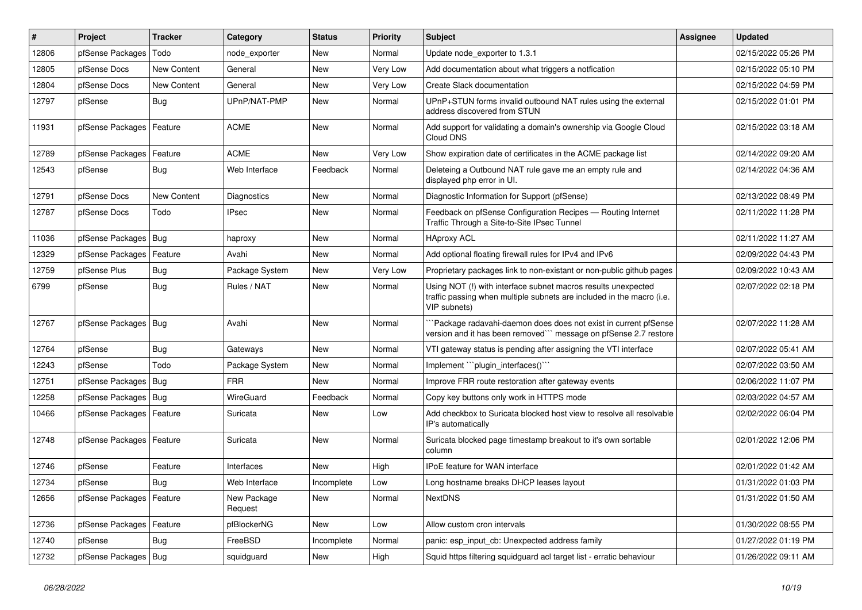| $\vert$ # | Project                    | <b>Tracker</b> | Category               | <b>Status</b> | <b>Priority</b> | Subject                                                                                                                                                | <b>Assignee</b> | <b>Updated</b>      |
|-----------|----------------------------|----------------|------------------------|---------------|-----------------|--------------------------------------------------------------------------------------------------------------------------------------------------------|-----------------|---------------------|
| 12806     | pfSense Packages           | Todo           | node exporter          | New           | Normal          | Update node exporter to 1.3.1                                                                                                                          |                 | 02/15/2022 05:26 PM |
| 12805     | pfSense Docs               | New Content    | General                | <b>New</b>    | Very Low        | Add documentation about what triggers a notfication                                                                                                    |                 | 02/15/2022 05:10 PM |
| 12804     | pfSense Docs               | New Content    | General                | New           | Very Low        | Create Slack documentation                                                                                                                             |                 | 02/15/2022 04:59 PM |
| 12797     | pfSense                    | <b>Bug</b>     | UPnP/NAT-PMP           | New           | Normal          | UPnP+STUN forms invalid outbound NAT rules using the external<br>address discovered from STUN                                                          |                 | 02/15/2022 01:01 PM |
| 11931     | pfSense Packages           | Feature        | <b>ACME</b>            | <b>New</b>    | Normal          | Add support for validating a domain's ownership via Google Cloud<br>Cloud DNS                                                                          |                 | 02/15/2022 03:18 AM |
| 12789     | pfSense Packages           | Feature        | <b>ACME</b>            | <b>New</b>    | Very Low        | Show expiration date of certificates in the ACME package list                                                                                          |                 | 02/14/2022 09:20 AM |
| 12543     | pfSense                    | Bug            | Web Interface          | Feedback      | Normal          | Deleteing a Outbound NAT rule gave me an empty rule and<br>displayed php error in UI.                                                                  |                 | 02/14/2022 04:36 AM |
| 12791     | pfSense Docs               | New Content    | Diagnostics            | <b>New</b>    | Normal          | Diagnostic Information for Support (pfSense)                                                                                                           |                 | 02/13/2022 08:49 PM |
| 12787     | pfSense Docs               | Todo           | <b>IPsec</b>           | <b>New</b>    | Normal          | Feedback on pfSense Configuration Recipes - Routing Internet<br>Traffic Through a Site-to-Site IPsec Tunnel                                            |                 | 02/11/2022 11:28 PM |
| 11036     | pfSense Packages   Bug     |                | haproxy                | New           | Normal          | <b>HAproxy ACL</b>                                                                                                                                     |                 | 02/11/2022 11:27 AM |
| 12329     | pfSense Packages           | Feature        | Avahi                  | New           | Normal          | Add optional floating firewall rules for IPv4 and IPv6                                                                                                 |                 | 02/09/2022 04:43 PM |
| 12759     | pfSense Plus               | Bug            | Package System         | <b>New</b>    | Very Low        | Proprietary packages link to non-existant or non-public github pages                                                                                   |                 | 02/09/2022 10:43 AM |
| 6799      | pfSense                    | <b>Bug</b>     | Rules / NAT            | New           | Normal          | Using NOT (!) with interface subnet macros results unexpected<br>traffic passing when multiple subnets are included in the macro (i.e.<br>VIP subnets) |                 | 02/07/2022 02:18 PM |
| 12767     | pfSense Packages   Bug     |                | Avahi                  | <b>New</b>    | Normal          | Package radavahi-daemon does does not exist in current pfSense<br>version and it has been removed"" message on pfSense 2.7 restore                     |                 | 02/07/2022 11:28 AM |
| 12764     | pfSense                    | Bug            | Gateways               | <b>New</b>    | Normal          | VTI gateway status is pending after assigning the VTI interface                                                                                        |                 | 02/07/2022 05:41 AM |
| 12243     | pfSense                    | Todo           | Package System         | <b>New</b>    | Normal          | Implement "plugin interfaces()"                                                                                                                        |                 | 02/07/2022 03:50 AM |
| 12751     | pfSense Packages   Bug     |                | <b>FRR</b>             | <b>New</b>    | Normal          | Improve FRR route restoration after gateway events                                                                                                     |                 | 02/06/2022 11:07 PM |
| 12258     | pfSense Packages   Bug     |                | WireGuard              | Feedback      | Normal          | Copy key buttons only work in HTTPS mode                                                                                                               |                 | 02/03/2022 04:57 AM |
| 10466     | pfSense Packages   Feature |                | Suricata               | New           | Low             | Add checkbox to Suricata blocked host view to resolve all resolvable<br>IP's automatically                                                             |                 | 02/02/2022 06:04 PM |
| 12748     | pfSense Packages   Feature |                | Suricata               | <b>New</b>    | Normal          | Suricata blocked page timestamp breakout to it's own sortable<br>column                                                                                |                 | 02/01/2022 12:06 PM |
| 12746     | pfSense                    | Feature        | Interfaces             | New           | High            | IPoE feature for WAN interface                                                                                                                         |                 | 02/01/2022 01:42 AM |
| 12734     | pfSense                    | Bug            | Web Interface          | Incomplete    | Low             | Long hostname breaks DHCP leases layout                                                                                                                |                 | 01/31/2022 01:03 PM |
| 12656     | pfSense Packages   Feature |                | New Package<br>Request | New           | Normal          | <b>NextDNS</b>                                                                                                                                         |                 | 01/31/2022 01:50 AM |
| 12736     | pfSense Packages   Feature |                | pfBlockerNG            | New           | Low             | Allow custom cron intervals                                                                                                                            |                 | 01/30/2022 08:55 PM |
| 12740     | pfSense                    | <b>Bug</b>     | FreeBSD                | Incomplete    | Normal          | panic: esp_input_cb: Unexpected address family                                                                                                         |                 | 01/27/2022 01:19 PM |
| 12732     | pfSense Packages   Bug     |                | squidguard             | New           | High            | Squid https filtering squidguard acl target list - erratic behaviour                                                                                   |                 | 01/26/2022 09:11 AM |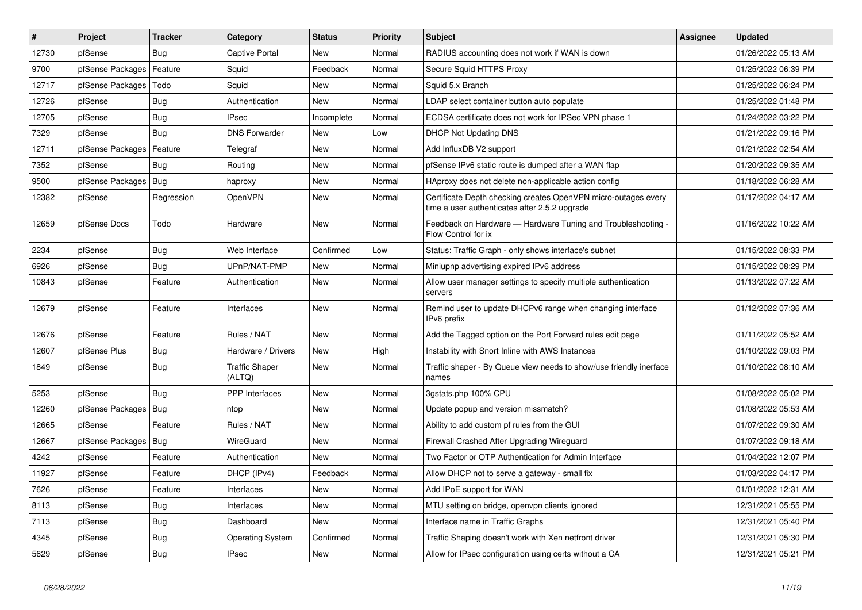| $\pmb{\#}$ | Project          | <b>Tracker</b> | Category                        | <b>Status</b> | <b>Priority</b> | <b>Subject</b>                                                                                                  | <b>Assignee</b> | Updated             |
|------------|------------------|----------------|---------------------------------|---------------|-----------------|-----------------------------------------------------------------------------------------------------------------|-----------------|---------------------|
| 12730      | pfSense          | <b>Bug</b>     | <b>Captive Portal</b>           | New           | Normal          | RADIUS accounting does not work if WAN is down                                                                  |                 | 01/26/2022 05:13 AM |
| 9700       | pfSense Packages | Feature        | Squid                           | Feedback      | Normal          | Secure Squid HTTPS Proxy                                                                                        |                 | 01/25/2022 06:39 PM |
| 12717      | pfSense Packages | Todo           | Squid                           | New           | Normal          | Squid 5.x Branch                                                                                                |                 | 01/25/2022 06:24 PM |
| 12726      | pfSense          | Bug            | Authentication                  | <b>New</b>    | Normal          | LDAP select container button auto populate                                                                      |                 | 01/25/2022 01:48 PM |
| 12705      | pfSense          | Bug            | <b>IPsec</b>                    | Incomplete    | Normal          | ECDSA certificate does not work for IPSec VPN phase 1                                                           |                 | 01/24/2022 03:22 PM |
| 7329       | pfSense          | Bug            | <b>DNS Forwarder</b>            | New           | Low             | <b>DHCP Not Updating DNS</b>                                                                                    |                 | 01/21/2022 09:16 PM |
| 12711      | pfSense Packages | Feature        | Telegraf                        | New           | Normal          | Add InfluxDB V2 support                                                                                         |                 | 01/21/2022 02:54 AM |
| 7352       | pfSense          | Bug            | Routing                         | New           | Normal          | pfSense IPv6 static route is dumped after a WAN flap                                                            |                 | 01/20/2022 09:35 AM |
| 9500       | pfSense Packages | Bug            | haproxy                         | New           | Normal          | HAproxy does not delete non-applicable action config                                                            |                 | 01/18/2022 06:28 AM |
| 12382      | pfSense          | Regression     | OpenVPN                         | New           | Normal          | Certificate Depth checking creates OpenVPN micro-outages every<br>time a user authenticates after 2.5.2 upgrade |                 | 01/17/2022 04:17 AM |
| 12659      | pfSense Docs     | Todo           | Hardware                        | <b>New</b>    | Normal          | Feedback on Hardware — Hardware Tuning and Troubleshooting -<br>Flow Control for ix                             |                 | 01/16/2022 10:22 AM |
| 2234       | pfSense          | <b>Bug</b>     | Web Interface                   | Confirmed     | Low             | Status: Traffic Graph - only shows interface's subnet                                                           |                 | 01/15/2022 08:33 PM |
| 6926       | pfSense          | <b>Bug</b>     | UPnP/NAT-PMP                    | <b>New</b>    | Normal          | Miniupnp advertising expired IPv6 address                                                                       |                 | 01/15/2022 08:29 PM |
| 10843      | pfSense          | Feature        | Authentication                  | <b>New</b>    | Normal          | Allow user manager settings to specify multiple authentication<br>servers                                       |                 | 01/13/2022 07:22 AM |
| 12679      | pfSense          | Feature        | Interfaces                      | New           | Normal          | Remind user to update DHCPv6 range when changing interface<br>IPv6 prefix                                       |                 | 01/12/2022 07:36 AM |
| 12676      | pfSense          | Feature        | Rules / NAT                     | <b>New</b>    | Normal          | Add the Tagged option on the Port Forward rules edit page                                                       |                 | 01/11/2022 05:52 AM |
| 12607      | pfSense Plus     | Bug            | Hardware / Drivers              | New           | High            | Instability with Snort Inline with AWS Instances                                                                |                 | 01/10/2022 09:03 PM |
| 1849       | pfSense          | Bug            | <b>Traffic Shaper</b><br>(ALTQ) | New           | Normal          | Traffic shaper - By Queue view needs to show/use friendly inerface<br>names                                     |                 | 01/10/2022 08:10 AM |
| 5253       | pfSense          | Bug            | <b>PPP</b> Interfaces           | New           | Normal          | 3gstats.php 100% CPU                                                                                            |                 | 01/08/2022 05:02 PM |
| 12260      | pfSense Packages | Bug            | ntop                            | New           | Normal          | Update popup and version missmatch?                                                                             |                 | 01/08/2022 05:53 AM |
| 12665      | pfSense          | Feature        | Rules / NAT                     | New           | Normal          | Ability to add custom pf rules from the GUI                                                                     |                 | 01/07/2022 09:30 AM |
| 12667      | pfSense Packages | Bug            | WireGuard                       | New           | Normal          | Firewall Crashed After Upgrading Wireguard                                                                      |                 | 01/07/2022 09:18 AM |
| 4242       | pfSense          | Feature        | Authentication                  | <b>New</b>    | Normal          | Two Factor or OTP Authentication for Admin Interface                                                            |                 | 01/04/2022 12:07 PM |
| 11927      | pfSense          | Feature        | DHCP (IPv4)                     | Feedback      | Normal          | Allow DHCP not to serve a gateway - small fix                                                                   |                 | 01/03/2022 04:17 PM |
| 7626       | pfSense          | Feature        | Interfaces                      | New           | Normal          | Add IPoE support for WAN                                                                                        |                 | 01/01/2022 12:31 AM |
| 8113       | pfSense          | <b>Bug</b>     | Interfaces                      | New           | Normal          | MTU setting on bridge, openypn clients ignored                                                                  |                 | 12/31/2021 05:55 PM |
| 7113       | pfSense          | Bug            | Dashboard                       | New           | Normal          | Interface name in Traffic Graphs                                                                                |                 | 12/31/2021 05:40 PM |
| 4345       | pfSense          | Bug            | <b>Operating System</b>         | Confirmed     | Normal          | Traffic Shaping doesn't work with Xen netfront driver                                                           |                 | 12/31/2021 05:30 PM |
| 5629       | pfSense          | Bug            | <b>IPsec</b>                    | <b>New</b>    | Normal          | Allow for IPsec configuration using certs without a CA                                                          |                 | 12/31/2021 05:21 PM |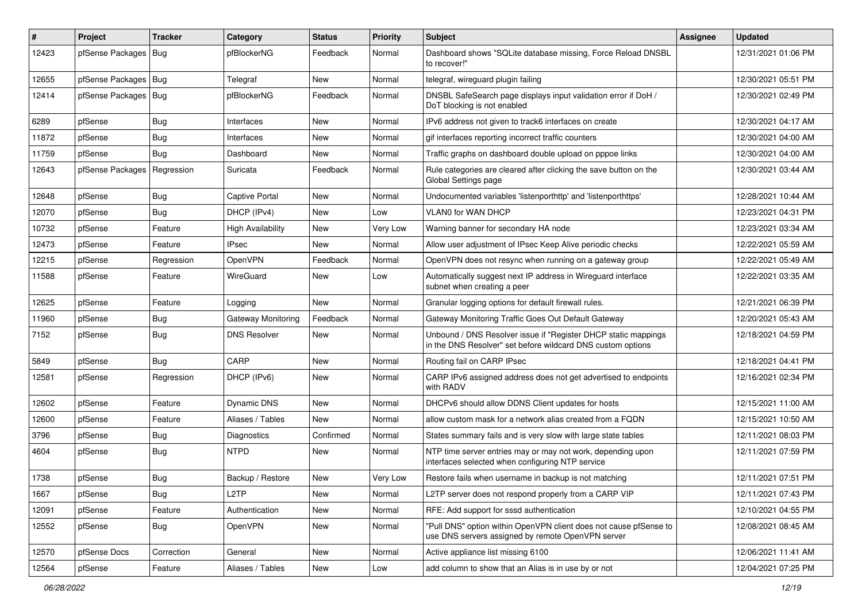| $\vert$ # | Project                | <b>Tracker</b> | Category                  | <b>Status</b> | Priority        | Subject                                                                                                                       | <b>Assignee</b> | <b>Updated</b>      |
|-----------|------------------------|----------------|---------------------------|---------------|-----------------|-------------------------------------------------------------------------------------------------------------------------------|-----------------|---------------------|
| 12423     | pfSense Packages       | Bug            | pfBlockerNG               | Feedback      | Normal          | Dashboard shows "SQLite database missing, Force Reload DNSBL<br>to recover!"                                                  |                 | 12/31/2021 01:06 PM |
| 12655     | pfSense Packages   Bug |                | Telegraf                  | <b>New</b>    | Normal          | telegraf, wireguard plugin failing                                                                                            |                 | 12/30/2021 05:51 PM |
| 12414     | pfSense Packages   Bug |                | pfBlockerNG               | Feedback      | Normal          | DNSBL SafeSearch page displays input validation error if DoH /<br>DoT blocking is not enabled                                 |                 | 12/30/2021 02:49 PM |
| 6289      | pfSense                | Bug            | Interfaces                | New           | Normal          | IPv6 address not given to track6 interfaces on create                                                                         |                 | 12/30/2021 04:17 AM |
| 11872     | pfSense                | <b>Bug</b>     | Interfaces                | New           | Normal          | gif interfaces reporting incorrect traffic counters                                                                           |                 | 12/30/2021 04:00 AM |
| 11759     | pfSense                | Bug            | Dashboard                 | <b>New</b>    | Normal          | Traffic graphs on dashboard double upload on pppoe links                                                                      |                 | 12/30/2021 04:00 AM |
| 12643     | pfSense Packages       | Regression     | Suricata                  | Feedback      | Normal          | Rule categories are cleared after clicking the save button on the<br>Global Settings page                                     |                 | 12/30/2021 03:44 AM |
| 12648     | pfSense                | <b>Bug</b>     | <b>Captive Portal</b>     | <b>New</b>    | Normal          | Undocumented variables 'listenporthttp' and 'listenporthttps'                                                                 |                 | 12/28/2021 10:44 AM |
| 12070     | pfSense                | <b>Bug</b>     | DHCP (IPv4)               | New           | Low             | VLAN0 for WAN DHCP                                                                                                            |                 | 12/23/2021 04:31 PM |
| 10732     | pfSense                | Feature        | <b>High Availability</b>  | <b>New</b>    | Very Low        | Warning banner for secondary HA node                                                                                          |                 | 12/23/2021 03:34 AM |
| 12473     | pfSense                | Feature        | <b>IPsec</b>              | <b>New</b>    | Normal          | Allow user adjustment of IPsec Keep Alive periodic checks                                                                     |                 | 12/22/2021 05:59 AM |
| 12215     | pfSense                | Regression     | OpenVPN                   | Feedback      | Normal          | OpenVPN does not resync when running on a gateway group                                                                       |                 | 12/22/2021 05:49 AM |
| 11588     | pfSense                | Feature        | WireGuard                 | <b>New</b>    | Low             | Automatically suggest next IP address in Wireguard interface<br>subnet when creating a peer                                   |                 | 12/22/2021 03:35 AM |
| 12625     | pfSense                | Feature        | Logging                   | <b>New</b>    | Normal          | Granular logging options for default firewall rules.                                                                          |                 | 12/21/2021 06:39 PM |
| 11960     | pfSense                | <b>Bug</b>     | <b>Gateway Monitoring</b> | Feedback      | Normal          | Gateway Monitoring Traffic Goes Out Default Gateway                                                                           |                 | 12/20/2021 05:43 AM |
| 7152      | pfSense                | <b>Bug</b>     | <b>DNS Resolver</b>       | New           | Normal          | Unbound / DNS Resolver issue if "Register DHCP static mappings<br>in the DNS Resolver" set before wildcard DNS custom options |                 | 12/18/2021 04:59 PM |
| 5849      | pfSense                | <b>Bug</b>     | CARP                      | New           | Normal          | Routing fail on CARP IPsec                                                                                                    |                 | 12/18/2021 04:41 PM |
| 12581     | pfSense                | Regression     | DHCP (IPv6)               | New           | Normal          | CARP IPv6 assigned address does not get advertised to endpoints<br>with RADV                                                  |                 | 12/16/2021 02:34 PM |
| 12602     | pfSense                | Feature        | Dynamic DNS               | New           | Normal          | DHCPv6 should allow DDNS Client updates for hosts                                                                             |                 | 12/15/2021 11:00 AM |
| 12600     | pfSense                | Feature        | Aliases / Tables          | <b>New</b>    | Normal          | allow custom mask for a network alias created from a FQDN                                                                     |                 | 12/15/2021 10:50 AM |
| 3796      | pfSense                | <b>Bug</b>     | Diagnostics               | Confirmed     | Normal          | States summary fails and is very slow with large state tables                                                                 |                 | 12/11/2021 08:03 PM |
| 4604      | pfSense                | <b>Bug</b>     | <b>NTPD</b>               | New           | Normal          | NTP time server entries may or may not work, depending upon<br>interfaces selected when configuring NTP service               |                 | 12/11/2021 07:59 PM |
| 1738      | pfSense                | <b>Bug</b>     | Backup / Restore          | New           | <b>Very Low</b> | Restore fails when username in backup is not matching                                                                         |                 | 12/11/2021 07:51 PM |
| 1667      | pfSense                | <b>Bug</b>     | L <sub>2</sub> TP         | New           | Normal          | L2TP server does not respond properly from a CARP VIP                                                                         |                 | 12/11/2021 07:43 PM |
| 12091     | pfSense                | Feature        | Authentication            | <b>New</b>    | Normal          | RFE: Add support for sssd authentication                                                                                      |                 | 12/10/2021 04:55 PM |
| 12552     | pfSense                | <b>Bug</b>     | OpenVPN                   | New           | Normal          | "Pull DNS" option within OpenVPN client does not cause pfSense to<br>use DNS servers assigned by remote OpenVPN server        |                 | 12/08/2021 08:45 AM |
| 12570     | pfSense Docs           | Correction     | General                   | New           | Normal          | Active appliance list missing 6100                                                                                            |                 | 12/06/2021 11:41 AM |
| 12564     | pfSense                | Feature        | Aliases / Tables          | New           | Low             | add column to show that an Alias is in use by or not                                                                          |                 | 12/04/2021 07:25 PM |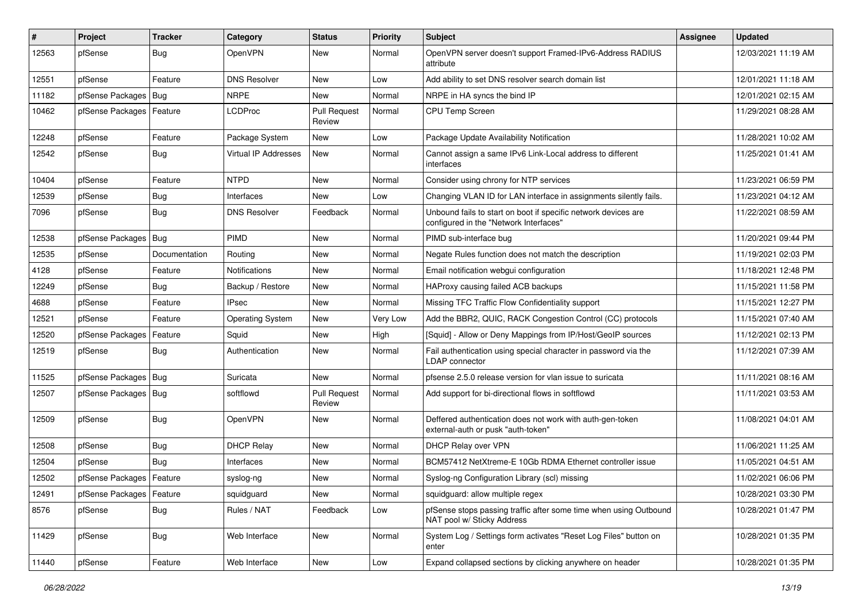| $\vert$ # | Project                    | <b>Tracker</b> | Category                | <b>Status</b>                 | <b>Priority</b> | <b>Subject</b>                                                                                           | <b>Assignee</b> | <b>Updated</b>      |
|-----------|----------------------------|----------------|-------------------------|-------------------------------|-----------------|----------------------------------------------------------------------------------------------------------|-----------------|---------------------|
| 12563     | pfSense                    | <b>Bug</b>     | OpenVPN                 | New                           | Normal          | OpenVPN server doesn't support Framed-IPv6-Address RADIUS<br>attribute                                   |                 | 12/03/2021 11:19 AM |
| 12551     | pfSense                    | Feature        | <b>DNS Resolver</b>     | New                           | Low             | Add ability to set DNS resolver search domain list                                                       |                 | 12/01/2021 11:18 AM |
| 11182     | pfSense Packages   Bug     |                | <b>NRPE</b>             | New                           | Normal          | NRPE in HA syncs the bind IP                                                                             |                 | 12/01/2021 02:15 AM |
| 10462     | pfSense Packages   Feature |                | <b>LCDProc</b>          | <b>Pull Request</b><br>Review | Normal          | CPU Temp Screen                                                                                          |                 | 11/29/2021 08:28 AM |
| 12248     | pfSense                    | Feature        | Package System          | New                           | Low             | Package Update Availability Notification                                                                 |                 | 11/28/2021 10:02 AM |
| 12542     | pfSense                    | <b>Bug</b>     | Virtual IP Addresses    | New                           | Normal          | Cannot assign a same IPv6 Link-Local address to different<br>interfaces                                  |                 | 11/25/2021 01:41 AM |
| 10404     | pfSense                    | Feature        | <b>NTPD</b>             | <b>New</b>                    | Normal          | Consider using chrony for NTP services                                                                   |                 | 11/23/2021 06:59 PM |
| 12539     | pfSense                    | <b>Bug</b>     | Interfaces              | New                           | Low             | Changing VLAN ID for LAN interface in assignments silently fails.                                        |                 | 11/23/2021 04:12 AM |
| 7096      | pfSense                    | <b>Bug</b>     | <b>DNS Resolver</b>     | Feedback                      | Normal          | Unbound fails to start on boot if specific network devices are<br>configured in the "Network Interfaces" |                 | 11/22/2021 08:59 AM |
| 12538     | pfSense Packages   Bug     |                | PIMD                    | <b>New</b>                    | Normal          | PIMD sub-interface bug                                                                                   |                 | 11/20/2021 09:44 PM |
| 12535     | pfSense                    | Documentation  | Routing                 | New                           | Normal          | Negate Rules function does not match the description                                                     |                 | 11/19/2021 02:03 PM |
| 4128      | pfSense                    | Feature        | <b>Notifications</b>    | New                           | Normal          | Email notification webgui configuration                                                                  |                 | 11/18/2021 12:48 PM |
| 12249     | pfSense                    | Bug            | Backup / Restore        | New                           | Normal          | HAProxy causing failed ACB backups                                                                       |                 | 11/15/2021 11:58 PM |
| 4688      | pfSense                    | Feature        | <b>IPsec</b>            | <b>New</b>                    | Normal          | Missing TFC Traffic Flow Confidentiality support                                                         |                 | 11/15/2021 12:27 PM |
| 12521     | pfSense                    | Feature        | <b>Operating System</b> | New                           | Very Low        | Add the BBR2, QUIC, RACK Congestion Control (CC) protocols                                               |                 | 11/15/2021 07:40 AM |
| 12520     | pfSense Packages           | Feature        | Squid                   | <b>New</b>                    | High            | [Squid] - Allow or Deny Mappings from IP/Host/GeoIP sources                                              |                 | 11/12/2021 02:13 PM |
| 12519     | pfSense                    | <b>Bug</b>     | Authentication          | <b>New</b>                    | Normal          | Fail authentication using special character in password via the<br><b>LDAP</b> connector                 |                 | 11/12/2021 07:39 AM |
| 11525     | pfSense Packages   Bug     |                | Suricata                | <b>New</b>                    | Normal          | pfsense 2.5.0 release version for vlan issue to suricata                                                 |                 | 11/11/2021 08:16 AM |
| 12507     | pfSense Packages   Bug     |                | softflowd               | <b>Pull Request</b><br>Review | Normal          | Add support for bi-directional flows in softflowd                                                        |                 | 11/11/2021 03:53 AM |
| 12509     | pfSense                    | <b>Bug</b>     | OpenVPN                 | <b>New</b>                    | Normal          | Deffered authentication does not work with auth-gen-token<br>external-auth or pusk "auth-token"          |                 | 11/08/2021 04:01 AM |
| 12508     | pfSense                    | <b>Bug</b>     | <b>DHCP Relay</b>       | New                           | Normal          | DHCP Relay over VPN                                                                                      |                 | 11/06/2021 11:25 AM |
| 12504     | pfSense                    | Bug            | Interfaces              | <b>New</b>                    | Normal          | BCM57412 NetXtreme-E 10Gb RDMA Ethernet controller issue                                                 |                 | 11/05/2021 04:51 AM |
| 12502     | pfSense Packages   Feature |                | syslog-ng               | New                           | Normal          | Syslog-ng Configuration Library (scl) missing                                                            |                 | 11/02/2021 06:06 PM |
| 12491     | pfSense Packages   Feature |                | squidguard              | New                           | Normal          | squidguard: allow multiple regex                                                                         |                 | 10/28/2021 03:30 PM |
| 8576      | pfSense                    | <b>Bug</b>     | Rules / NAT             | Feedback                      | Low             | pfSense stops passing traffic after some time when using Outbound<br>NAT pool w/ Sticky Address          |                 | 10/28/2021 01:47 PM |
| 11429     | pfSense                    | Bug            | Web Interface           | New                           | Normal          | System Log / Settings form activates "Reset Log Files" button on<br>enter                                |                 | 10/28/2021 01:35 PM |
| 11440     | pfSense                    | Feature        | Web Interface           | New                           | Low             | Expand collapsed sections by clicking anywhere on header                                                 |                 | 10/28/2021 01:35 PM |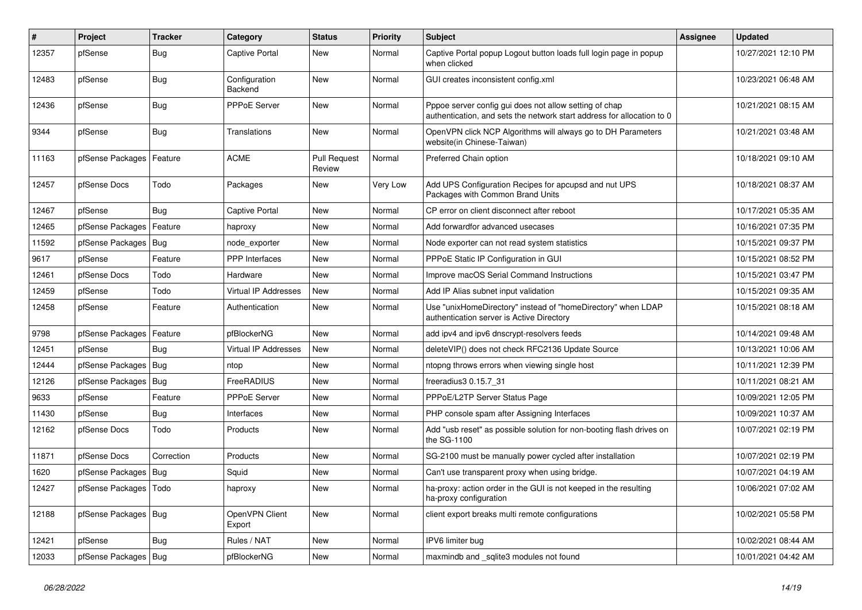| #     | Project                | <b>Tracker</b> | Category                    | <b>Status</b>                 | <b>Priority</b> | <b>Subject</b>                                                                                                                   | <b>Assignee</b> | <b>Updated</b>      |
|-------|------------------------|----------------|-----------------------------|-------------------------------|-----------------|----------------------------------------------------------------------------------------------------------------------------------|-----------------|---------------------|
| 12357 | pfSense                | <b>Bug</b>     | <b>Captive Portal</b>       | New                           | Normal          | Captive Portal popup Logout button loads full login page in popup<br>when clicked                                                |                 | 10/27/2021 12:10 PM |
| 12483 | pfSense                | Bug            | Configuration<br>Backend    | <b>New</b>                    | Normal          | GUI creates inconsistent config.xml                                                                                              |                 | 10/23/2021 06:48 AM |
| 12436 | pfSense                | <b>Bug</b>     | <b>PPPoE Server</b>         | <b>New</b>                    | Normal          | Pppoe server config gui does not allow setting of chap<br>authentication, and sets the network start address for allocation to 0 |                 | 10/21/2021 08:15 AM |
| 9344  | pfSense                | Bug            | Translations                | <b>New</b>                    | Normal          | OpenVPN click NCP Algorithms will always go to DH Parameters<br>website(in Chinese-Taiwan)                                       |                 | 10/21/2021 03:48 AM |
| 11163 | pfSense Packages       | Feature        | <b>ACME</b>                 | <b>Pull Request</b><br>Review | Normal          | Preferred Chain option                                                                                                           |                 | 10/18/2021 09:10 AM |
| 12457 | pfSense Docs           | Todo           | Packages                    | <b>New</b>                    | Very Low        | Add UPS Configuration Recipes for apcupsd and nut UPS<br>Packages with Common Brand Units                                        |                 | 10/18/2021 08:37 AM |
| 12467 | pfSense                | <b>Bug</b>     | <b>Captive Portal</b>       | New                           | Normal          | CP error on client disconnect after reboot                                                                                       |                 | 10/17/2021 05:35 AM |
| 12465 | pfSense Packages       | Feature        | haproxy                     | New                           | Normal          | Add forwardfor advanced usecases                                                                                                 |                 | 10/16/2021 07:35 PM |
| 11592 | pfSense Packages   Bug |                | node exporter               | New                           | Normal          | Node exporter can not read system statistics                                                                                     |                 | 10/15/2021 09:37 PM |
| 9617  | pfSense                | Feature        | <b>PPP</b> Interfaces       | New                           | Normal          | PPPoE Static IP Configuration in GUI                                                                                             |                 | 10/15/2021 08:52 PM |
| 12461 | pfSense Docs           | Todo           | Hardware                    | <b>New</b>                    | Normal          | Improve macOS Serial Command Instructions                                                                                        |                 | 10/15/2021 03:47 PM |
| 12459 | pfSense                | Todo           | <b>Virtual IP Addresses</b> | <b>New</b>                    | Normal          | Add IP Alias subnet input validation                                                                                             |                 | 10/15/2021 09:35 AM |
| 12458 | pfSense                | Feature        | Authentication              | New                           | Normal          | Use "unixHomeDirectory" instead of "homeDirectory" when LDAP<br>authentication server is Active Directory                        |                 | 10/15/2021 08:18 AM |
| 9798  | pfSense Packages       | Feature        | pfBlockerNG                 | <b>New</b>                    | Normal          | add ipv4 and ipv6 dnscrypt-resolvers feeds                                                                                       |                 | 10/14/2021 09:48 AM |
| 12451 | pfSense                | Bug            | Virtual IP Addresses        | <b>New</b>                    | Normal          | deleteVIP() does not check RFC2136 Update Source                                                                                 |                 | 10/13/2021 10:06 AM |
| 12444 | pfSense Packages   Bug |                | ntop                        | <b>New</b>                    | Normal          | ntopng throws errors when viewing single host                                                                                    |                 | 10/11/2021 12:39 PM |
| 12126 | pfSense Packages       | Bug            | FreeRADIUS                  | <b>New</b>                    | Normal          | freeradius3 0.15.7 31                                                                                                            |                 | 10/11/2021 08:21 AM |
| 9633  | pfSense                | Feature        | PPPoE Server                | <b>New</b>                    | Normal          | PPPoE/L2TP Server Status Page                                                                                                    |                 | 10/09/2021 12:05 PM |
| 11430 | pfSense                | Bug            | Interfaces                  | <b>New</b>                    | Normal          | PHP console spam after Assigning Interfaces                                                                                      |                 | 10/09/2021 10:37 AM |
| 12162 | pfSense Docs           | Todo           | Products                    | <b>New</b>                    | Normal          | Add "usb reset" as possible solution for non-booting flash drives on<br>the SG-1100                                              |                 | 10/07/2021 02:19 PM |
| 11871 | pfSense Docs           | Correction     | Products                    | <b>New</b>                    | Normal          | SG-2100 must be manually power cycled after installation                                                                         |                 | 10/07/2021 02:19 PM |
| 1620  | pfSense Packages   Bug |                | Squid                       | New                           | Normal          | Can't use transparent proxy when using bridge.                                                                                   |                 | 10/07/2021 04:19 AM |
| 12427 | pfSense Packages       | Todo           | haproxy                     | New                           | Normal          | ha-proxy: action order in the GUI is not keeped in the resulting<br>ha-proxy configuration                                       |                 | 10/06/2021 07:02 AM |
| 12188 | pfSense Packages   Bug |                | OpenVPN Client<br>Export    | <b>New</b>                    | Normal          | client export breaks multi remote configurations                                                                                 |                 | 10/02/2021 05:58 PM |
| 12421 | pfSense                | Bug            | Rules / NAT                 | New                           | Normal          | IPV6 limiter bug                                                                                                                 |                 | 10/02/2021 08:44 AM |
| 12033 | pfSense Packages   Bug |                | pfBlockerNG                 | <b>New</b>                    | Normal          | maxmindb and sqlite3 modules not found                                                                                           |                 | 10/01/2021 04:42 AM |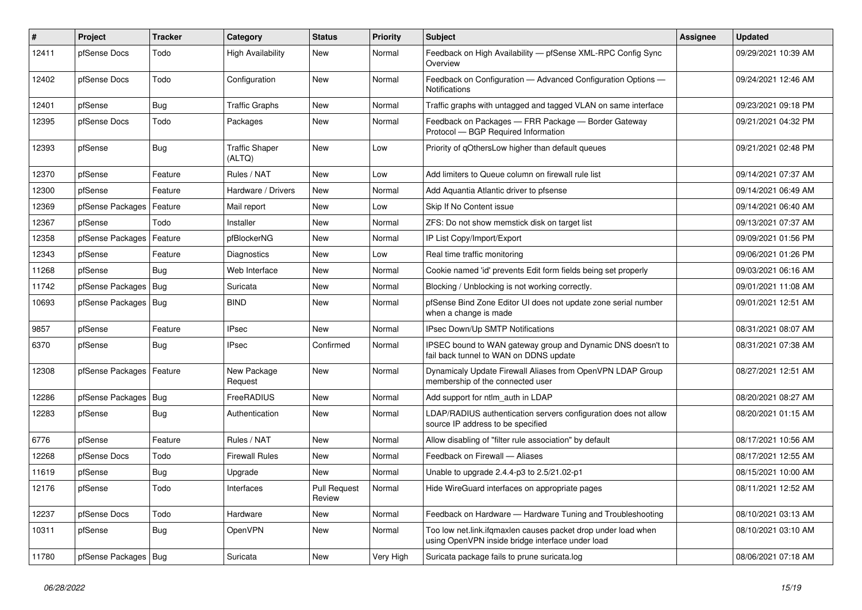| #     | Project                    | <b>Tracker</b> | Category                        | <b>Status</b>          | <b>Priority</b> | <b>Subject</b>                                                                                                    | Assignee | <b>Updated</b>      |
|-------|----------------------------|----------------|---------------------------------|------------------------|-----------------|-------------------------------------------------------------------------------------------------------------------|----------|---------------------|
| 12411 | pfSense Docs               | Todo           | <b>High Availability</b>        | New                    | Normal          | Feedback on High Availability - pfSense XML-RPC Config Sync<br>Overview                                           |          | 09/29/2021 10:39 AM |
| 12402 | pfSense Docs               | Todo           | Configuration                   | New                    | Normal          | Feedback on Configuration - Advanced Configuration Options -<br><b>Notifications</b>                              |          | 09/24/2021 12:46 AM |
| 12401 | pfSense                    | Bug            | <b>Traffic Graphs</b>           | New                    | Normal          | Traffic graphs with untagged and tagged VLAN on same interface                                                    |          | 09/23/2021 09:18 PM |
| 12395 | pfSense Docs               | Todo           | Packages                        | New                    | Normal          | Feedback on Packages - FRR Package - Border Gateway<br>Protocol - BGP Required Information                        |          | 09/21/2021 04:32 PM |
| 12393 | pfSense                    | Bug            | <b>Traffic Shaper</b><br>(ALTQ) | New                    | Low             | Priority of gOthersLow higher than default queues                                                                 |          | 09/21/2021 02:48 PM |
| 12370 | pfSense                    | Feature        | Rules / NAT                     | New                    | Low             | Add limiters to Queue column on firewall rule list                                                                |          | 09/14/2021 07:37 AM |
| 12300 | pfSense                    | Feature        | Hardware / Drivers              | New                    | Normal          | Add Aquantia Atlantic driver to pfsense                                                                           |          | 09/14/2021 06:49 AM |
| 12369 | pfSense Packages           | Feature        | Mail report                     | <b>New</b>             | Low             | Skip If No Content issue                                                                                          |          | 09/14/2021 06:40 AM |
| 12367 | pfSense                    | Todo           | Installer                       | <b>New</b>             | Normal          | ZFS: Do not show memstick disk on target list                                                                     |          | 09/13/2021 07:37 AM |
| 12358 | pfSense Packages           | Feature        | pfBlockerNG                     | New                    | Normal          | IP List Copy/Import/Export                                                                                        |          | 09/09/2021 01:56 PM |
| 12343 | pfSense                    | Feature        | Diagnostics                     | New                    | Low             | Real time traffic monitoring                                                                                      |          | 09/06/2021 01:26 PM |
| 11268 | pfSense                    | Bug            | Web Interface                   | New                    | Normal          | Cookie named 'id' prevents Edit form fields being set properly                                                    |          | 09/03/2021 06:16 AM |
| 11742 | pfSense Packages           | Bug            | Suricata                        | <b>New</b>             | Normal          | Blocking / Unblocking is not working correctly.                                                                   |          | 09/01/2021 11:08 AM |
| 10693 | pfSense Packages   Bug     |                | <b>BIND</b>                     | New                    | Normal          | pfSense Bind Zone Editor UI does not update zone serial number<br>when a change is made                           |          | 09/01/2021 12:51 AM |
| 9857  | pfSense                    | Feature        | <b>IPsec</b>                    | <b>New</b>             | Normal          | IPsec Down/Up SMTP Notifications                                                                                  |          | 08/31/2021 08:07 AM |
| 6370  | pfSense                    | <b>Bug</b>     | <b>IPsec</b>                    | Confirmed              | Normal          | IPSEC bound to WAN gateway group and Dynamic DNS doesn't to<br>fail back tunnel to WAN on DDNS update             |          | 08/31/2021 07:38 AM |
| 12308 | pfSense Packages   Feature |                | New Package<br>Request          | <b>New</b>             | Normal          | Dynamicaly Update Firewall Aliases from OpenVPN LDAP Group<br>membership of the connected user                    |          | 08/27/2021 12:51 AM |
| 12286 | pfSense Packages           | Bug            | FreeRADIUS                      | <b>New</b>             | Normal          | Add support for ntlm auth in LDAP                                                                                 |          | 08/20/2021 08:27 AM |
| 12283 | pfSense                    | Bug            | Authentication                  | New                    | Normal          | LDAP/RADIUS authentication servers configuration does not allow<br>source IP address to be specified              |          | 08/20/2021 01:15 AM |
| 6776  | pfSense                    | Feature        | Rules / NAT                     | <b>New</b>             | Normal          | Allow disabling of "filter rule association" by default                                                           |          | 08/17/2021 10:56 AM |
| 12268 | pfSense Docs               | Todo           | <b>Firewall Rules</b>           | <b>New</b>             | Normal          | Feedback on Firewall - Aliases                                                                                    |          | 08/17/2021 12:55 AM |
| 11619 | pfSense                    | <b>Bug</b>     | Upgrade                         | New                    | Normal          | Unable to upgrade 2.4.4-p3 to 2.5/21.02-p1                                                                        |          | 08/15/2021 10:00 AM |
| 12176 | pfSense                    | Todo           | Interfaces                      | Pull Request<br>Review | Normal          | Hide WireGuard interfaces on appropriate pages                                                                    |          | 08/11/2021 12:52 AM |
| 12237 | pfSense Docs               | Todo           | Hardware                        | New                    | Normal          | Feedback on Hardware - Hardware Tuning and Troubleshooting                                                        |          | 08/10/2021 03:13 AM |
| 10311 | pfSense                    | <b>Bug</b>     | OpenVPN                         | New                    | Normal          | Too low net.link.ifqmaxlen causes packet drop under load when<br>using OpenVPN inside bridge interface under load |          | 08/10/2021 03:10 AM |
| 11780 | pfSense Packages   Bug     |                | Suricata                        | New                    | Very High       | Suricata package fails to prune suricata.log                                                                      |          | 08/06/2021 07:18 AM |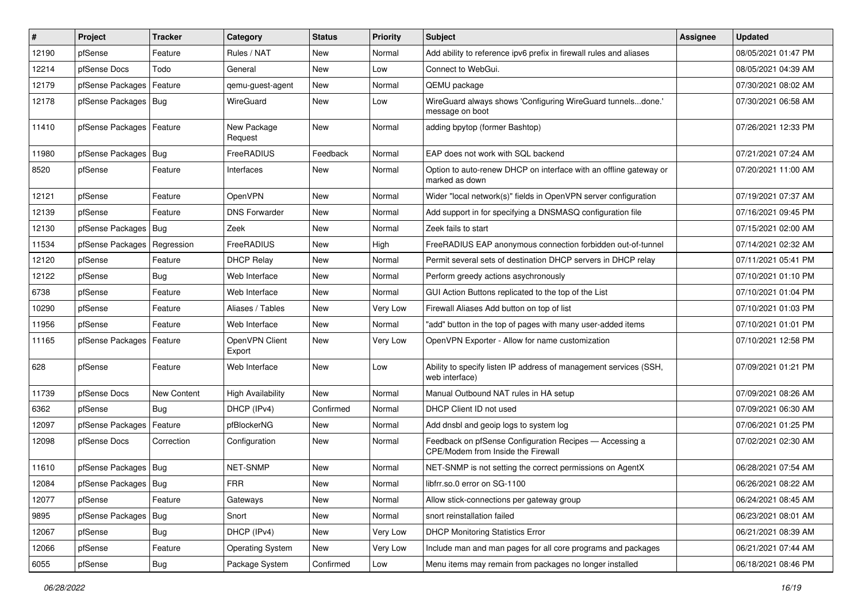| ∦     | Project                    | <b>Tracker</b>     | Category                 | <b>Status</b> | <b>Priority</b> | <b>Subject</b>                                                                                | <b>Assignee</b> | <b>Updated</b>      |
|-------|----------------------------|--------------------|--------------------------|---------------|-----------------|-----------------------------------------------------------------------------------------------|-----------------|---------------------|
| 12190 | pfSense                    | Feature            | Rules / NAT              | New           | Normal          | Add ability to reference ipv6 prefix in firewall rules and aliases                            |                 | 08/05/2021 01:47 PM |
| 12214 | pfSense Docs               | Todo               | General                  | New           | Low             | Connect to WebGui.                                                                            |                 | 08/05/2021 04:39 AM |
| 12179 | pfSense Packages           | Feature            | gemu-guest-agent         | New           | Normal          | QEMU package                                                                                  |                 | 07/30/2021 08:02 AM |
| 12178 | pfSense Packages   Bug     |                    | WireGuard                | <b>New</b>    | Low             | WireGuard always shows 'Configuring WireGuard tunnelsdone.'<br>message on boot                |                 | 07/30/2021 06:58 AM |
| 11410 | pfSense Packages           | Feature            | New Package<br>Request   | New           | Normal          | adding bpytop (former Bashtop)                                                                |                 | 07/26/2021 12:33 PM |
| 11980 | pfSense Packages           | Bug                | FreeRADIUS               | Feedback      | Normal          | EAP does not work with SQL backend                                                            |                 | 07/21/2021 07:24 AM |
| 8520  | pfSense                    | Feature            | Interfaces               | New           | Normal          | Option to auto-renew DHCP on interface with an offline gateway or<br>marked as down           |                 | 07/20/2021 11:00 AM |
| 12121 | pfSense                    | Feature            | OpenVPN                  | <b>New</b>    | Normal          | Wider "local network(s)" fields in OpenVPN server configuration                               |                 | 07/19/2021 07:37 AM |
| 12139 | pfSense                    | Feature            | <b>DNS Forwarder</b>     | New           | Normal          | Add support in for specifying a DNSMASQ configuration file                                    |                 | 07/16/2021 09:45 PM |
| 12130 | pfSense Packages   Bug     |                    | Zeek                     | New           | Normal          | Zeek fails to start                                                                           |                 | 07/15/2021 02:00 AM |
| 11534 | pfSense Packages           | Regression         | FreeRADIUS               | New           | High            | FreeRADIUS EAP anonymous connection forbidden out-of-tunnel                                   |                 | 07/14/2021 02:32 AM |
| 12120 | pfSense                    | Feature            | <b>DHCP Relay</b>        | New           | Normal          | Permit several sets of destination DHCP servers in DHCP relay                                 |                 | 07/11/2021 05:41 PM |
| 12122 | pfSense                    | Bug                | Web Interface            | <b>New</b>    | Normal          | Perform greedy actions asychronously                                                          |                 | 07/10/2021 01:10 PM |
| 6738  | pfSense                    | Feature            | Web Interface            | New           | Normal          | GUI Action Buttons replicated to the top of the List                                          |                 | 07/10/2021 01:04 PM |
| 10290 | pfSense                    | Feature            | Aliases / Tables         | <b>New</b>    | Very Low        | Firewall Aliases Add button on top of list                                                    |                 | 07/10/2021 01:03 PM |
| 11956 | pfSense                    | Feature            | Web Interface            | New           | Normal          | "add" button in the top of pages with many user-added items                                   |                 | 07/10/2021 01:01 PM |
| 11165 | pfSense Packages   Feature |                    | OpenVPN Client<br>Export | New           | Very Low        | OpenVPN Exporter - Allow for name customization                                               |                 | 07/10/2021 12:58 PM |
| 628   | pfSense                    | Feature            | Web Interface            | <b>New</b>    | Low             | Ability to specify listen IP address of management services (SSH,<br>web interface)           |                 | 07/09/2021 01:21 PM |
| 11739 | pfSense Docs               | <b>New Content</b> | <b>High Availability</b> | <b>New</b>    | Normal          | Manual Outbound NAT rules in HA setup                                                         |                 | 07/09/2021 08:26 AM |
| 6362  | pfSense                    | Bug                | DHCP (IPv4)              | Confirmed     | Normal          | DHCP Client ID not used                                                                       |                 | 07/09/2021 06:30 AM |
| 12097 | pfSense Packages           | Feature            | pfBlockerNG              | New           | Normal          | Add dnsbl and geoip logs to system log                                                        |                 | 07/06/2021 01:25 PM |
| 12098 | pfSense Docs               | Correction         | Configuration            | New           | Normal          | Feedback on pfSense Configuration Recipes - Accessing a<br>CPE/Modem from Inside the Firewall |                 | 07/02/2021 02:30 AM |
| 11610 | pfSense Packages   Bug     |                    | NET-SNMP                 | New           | Normal          | NET-SNMP is not setting the correct permissions on AgentX                                     |                 | 06/28/2021 07:54 AM |
| 12084 | pfSense Packages   Bug     |                    | <b>FRR</b>               | New           | Normal          | libfrr.so.0 error on SG-1100                                                                  |                 | 06/26/2021 08:22 AM |
| 12077 | pfSense                    | Feature            | Gateways                 | New           | Normal          | Allow stick-connections per gateway group                                                     |                 | 06/24/2021 08:45 AM |
| 9895  | pfSense Packages           | <b>Bug</b>         | Snort                    | New           | Normal          | snort reinstallation failed                                                                   |                 | 06/23/2021 08:01 AM |
| 12067 | pfSense                    | <b>Bug</b>         | DHCP (IPv4)              | New           | Very Low        | <b>DHCP Monitoring Statistics Error</b>                                                       |                 | 06/21/2021 08:39 AM |
| 12066 | pfSense                    | Feature            | <b>Operating System</b>  | New           | Very Low        | Include man and man pages for all core programs and packages                                  |                 | 06/21/2021 07:44 AM |
| 6055  | pfSense                    | Bug                | Package System           | Confirmed     | Low             | Menu items may remain from packages no longer installed                                       |                 | 06/18/2021 08:46 PM |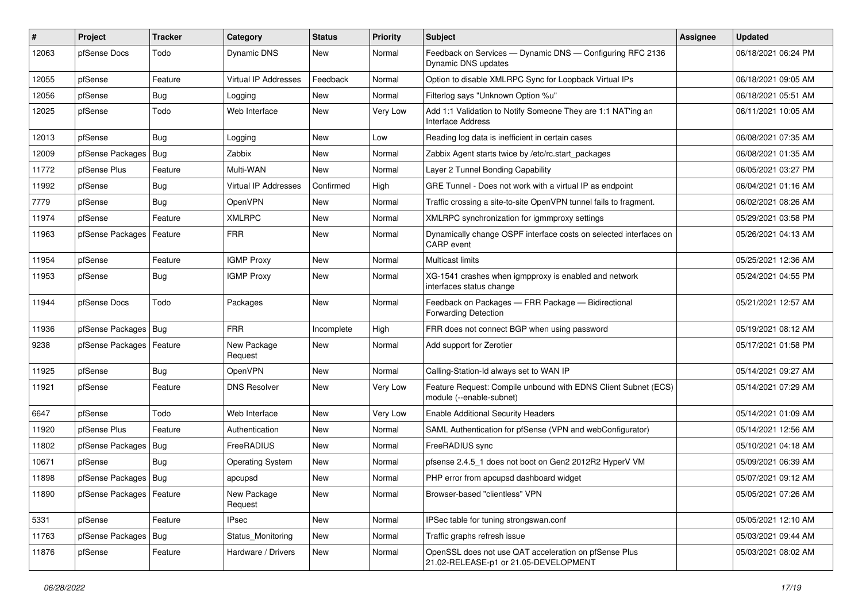| #     | <b>Project</b>             | <b>Tracker</b> | Category                | <b>Status</b> | <b>Priority</b> | <b>Subject</b>                                                                                 | Assignee | <b>Updated</b>      |
|-------|----------------------------|----------------|-------------------------|---------------|-----------------|------------------------------------------------------------------------------------------------|----------|---------------------|
| 12063 | pfSense Docs               | Todo           | Dynamic DNS             | New           | Normal          | Feedback on Services - Dynamic DNS - Configuring RFC 2136<br>Dynamic DNS updates               |          | 06/18/2021 06:24 PM |
| 12055 | pfSense                    | Feature        | Virtual IP Addresses    | Feedback      | Normal          | Option to disable XMLRPC Sync for Loopback Virtual IPs                                         |          | 06/18/2021 09:05 AM |
| 12056 | pfSense                    | <b>Bug</b>     | Logging                 | <b>New</b>    | Normal          | Filterlog says "Unknown Option %u"                                                             |          | 06/18/2021 05:51 AM |
| 12025 | pfSense                    | Todo           | Web Interface           | <b>New</b>    | Very Low        | Add 1:1 Validation to Notify Someone They are 1:1 NAT'ing an<br>Interface Address              |          | 06/11/2021 10:05 AM |
| 12013 | pfSense                    | Bug            | Logging                 | New           | Low             | Reading log data is inefficient in certain cases                                               |          | 06/08/2021 07:35 AM |
| 12009 | pfSense Packages           | Bug            | Zabbix                  | <b>New</b>    | Normal          | Zabbix Agent starts twice by /etc/rc.start packages                                            |          | 06/08/2021 01:35 AM |
| 11772 | pfSense Plus               | Feature        | Multi-WAN               | New           | Normal          | Layer 2 Tunnel Bonding Capability                                                              |          | 06/05/2021 03:27 PM |
| 11992 | pfSense                    | Bug            | Virtual IP Addresses    | Confirmed     | High            | GRE Tunnel - Does not work with a virtual IP as endpoint                                       |          | 06/04/2021 01:16 AM |
| 7779  | pfSense                    | Bug            | OpenVPN                 | New           | Normal          | Traffic crossing a site-to-site OpenVPN tunnel fails to fragment.                              |          | 06/02/2021 08:26 AM |
| 11974 | pfSense                    | Feature        | <b>XMLRPC</b>           | New           | Normal          | XMLRPC synchronization for igmmproxy settings                                                  |          | 05/29/2021 03:58 PM |
| 11963 | pfSense Packages           | Feature        | <b>FRR</b>              | <b>New</b>    | Normal          | Dynamically change OSPF interface costs on selected interfaces on<br><b>CARP</b> event         |          | 05/26/2021 04:13 AM |
| 11954 | pfSense                    | Feature        | <b>IGMP Proxy</b>       | <b>New</b>    | Normal          | Multicast limits                                                                               |          | 05/25/2021 12:36 AM |
| 11953 | pfSense                    | <b>Bug</b>     | <b>IGMP Proxy</b>       | <b>New</b>    | Normal          | XG-1541 crashes when igmpproxy is enabled and network<br>interfaces status change              |          | 05/24/2021 04:55 PM |
| 11944 | pfSense Docs               | Todo           | Packages                | <b>New</b>    | Normal          | Feedback on Packages - FRR Package - Bidirectional<br><b>Forwarding Detection</b>              |          | 05/21/2021 12:57 AM |
| 11936 | pfSense Packages   Bug     |                | <b>FRR</b>              | Incomplete    | High            | FRR does not connect BGP when using password                                                   |          | 05/19/2021 08:12 AM |
| 9238  | pfSense Packages   Feature |                | New Package<br>Request  | <b>New</b>    | Normal          | Add support for Zerotier                                                                       |          | 05/17/2021 01:58 PM |
| 11925 | pfSense                    | Bug            | OpenVPN                 | <b>New</b>    | Normal          | Calling-Station-Id always set to WAN IP                                                        |          | 05/14/2021 09:27 AM |
| 11921 | pfSense                    | Feature        | <b>DNS Resolver</b>     | <b>New</b>    | Very Low        | Feature Request: Compile unbound with EDNS Client Subnet (ECS)<br>module (--enable-subnet)     |          | 05/14/2021 07:29 AM |
| 6647  | pfSense                    | Todo           | Web Interface           | <b>New</b>    | Very Low        | <b>Enable Additional Security Headers</b>                                                      |          | 05/14/2021 01:09 AM |
| 11920 | pfSense Plus               | Feature        | Authentication          | New           | Normal          | SAML Authentication for pfSense (VPN and webConfigurator)                                      |          | 05/14/2021 12:56 AM |
| 11802 | pfSense Packages           | Bug            | FreeRADIUS              | <b>New</b>    | Normal          | FreeRADIUS sync                                                                                |          | 05/10/2021 04:18 AM |
| 10671 | pfSense                    | Bug            | <b>Operating System</b> | <b>New</b>    | Normal          | pfsense 2.4.5_1 does not boot on Gen2 2012R2 HyperV VM                                         |          | 05/09/2021 06:39 AM |
| 11898 | pfSense Packages   Bug     |                | apcupsd                 | New           | Normal          | PHP error from apcupsd dashboard widget                                                        |          | 05/07/2021 09:12 AM |
| 11890 | pfSense Packages   Feature |                | New Package<br>Request  | New           | Normal          | Browser-based "clientless" VPN                                                                 |          | 05/05/2021 07:26 AM |
| 5331  | pfSense                    | Feature        | IPsec                   | New           | Normal          | IPSec table for tuning strongswan.conf                                                         |          | 05/05/2021 12:10 AM |
| 11763 | pfSense Packages   Bug     |                | Status_Monitoring       | New           | Normal          | Traffic graphs refresh issue                                                                   |          | 05/03/2021 09:44 AM |
| 11876 | pfSense                    | Feature        | Hardware / Drivers      | New           | Normal          | OpenSSL does not use QAT acceleration on pfSense Plus<br>21.02-RELEASE-p1 or 21.05-DEVELOPMENT |          | 05/03/2021 08:02 AM |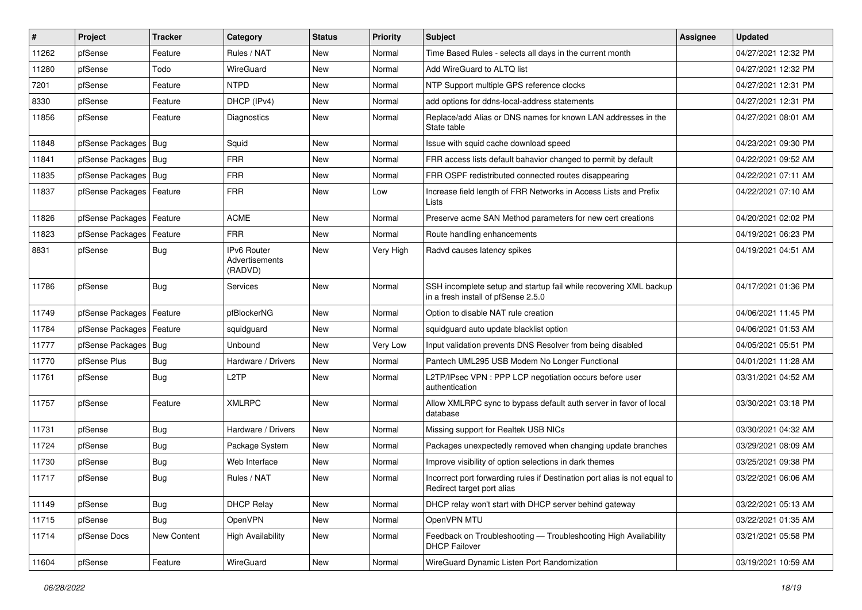| $\vert$ # | Project                    | <b>Tracker</b> | Category                                 | <b>Status</b> | <b>Priority</b> | Subject                                                                                                  | <b>Assignee</b> | <b>Updated</b>      |
|-----------|----------------------------|----------------|------------------------------------------|---------------|-----------------|----------------------------------------------------------------------------------------------------------|-----------------|---------------------|
| 11262     | pfSense                    | Feature        | Rules / NAT                              | New           | Normal          | Time Based Rules - selects all days in the current month                                                 |                 | 04/27/2021 12:32 PM |
| 11280     | pfSense                    | Todo           | WireGuard                                | <b>New</b>    | Normal          | Add WireGuard to ALTQ list                                                                               |                 | 04/27/2021 12:32 PM |
| 7201      | pfSense                    | Feature        | <b>NTPD</b>                              | New           | Normal          | NTP Support multiple GPS reference clocks                                                                |                 | 04/27/2021 12:31 PM |
| 8330      | pfSense                    | Feature        | DHCP (IPv4)                              | <b>New</b>    | Normal          | add options for ddns-local-address statements                                                            |                 | 04/27/2021 12:31 PM |
| 11856     | pfSense                    | Feature        | Diagnostics                              | <b>New</b>    | Normal          | Replace/add Alias or DNS names for known LAN addresses in the<br>State table                             |                 | 04/27/2021 08:01 AM |
| 11848     | pfSense Packages   Bug     |                | Squid                                    | <b>New</b>    | Normal          | Issue with squid cache download speed                                                                    |                 | 04/23/2021 09:30 PM |
| 11841     | pfSense Packages           | Bug            | <b>FRR</b>                               | <b>New</b>    | Normal          | FRR access lists default bahavior changed to permit by default                                           |                 | 04/22/2021 09:52 AM |
| 11835     | pfSense Packages   Bug     |                | <b>FRR</b>                               | New           | Normal          | FRR OSPF redistributed connected routes disappearing                                                     |                 | 04/22/2021 07:11 AM |
| 11837     | pfSense Packages   Feature |                | <b>FRR</b>                               | <b>New</b>    | Low             | Increase field length of FRR Networks in Access Lists and Prefix<br>Lists                                |                 | 04/22/2021 07:10 AM |
| 11826     | pfSense Packages   Feature |                | <b>ACME</b>                              | <b>New</b>    | Normal          | Preserve acme SAN Method parameters for new cert creations                                               |                 | 04/20/2021 02:02 PM |
| 11823     | pfSense Packages           | Feature        | <b>FRR</b>                               | <b>New</b>    | Normal          | Route handling enhancements                                                                              |                 | 04/19/2021 06:23 PM |
| 8831      | pfSense                    | Bug            | IPv6 Router<br>Advertisements<br>(RADVD) | <b>New</b>    | Very High       | Radvd causes latency spikes                                                                              |                 | 04/19/2021 04:51 AM |
| 11786     | pfSense                    | Bug            | <b>Services</b>                          | <b>New</b>    | Normal          | SSH incomplete setup and startup fail while recovering XML backup<br>in a fresh install of pfSense 2.5.0 |                 | 04/17/2021 01:36 PM |
| 11749     | pfSense Packages           | Feature        | pfBlockerNG                              | <b>New</b>    | Normal          | Option to disable NAT rule creation                                                                      |                 | 04/06/2021 11:45 PM |
| 11784     | pfSense Packages           | Feature        | squidguard                               | <b>New</b>    | Normal          | squidguard auto update blacklist option                                                                  |                 | 04/06/2021 01:53 AM |
| 11777     | pfSense Packages           | Bug            | Unbound                                  | <b>New</b>    | Very Low        | Input validation prevents DNS Resolver from being disabled                                               |                 | 04/05/2021 05:51 PM |
| 11770     | pfSense Plus               | <b>Bug</b>     | Hardware / Drivers                       | <b>New</b>    | Normal          | Pantech UML295 USB Modem No Longer Functional                                                            |                 | 04/01/2021 11:28 AM |
| 11761     | pfSense                    | Bug            | L <sub>2</sub> TP                        | <b>New</b>    | Normal          | L2TP/IPsec VPN : PPP LCP negotiation occurs before user<br>authentication                                |                 | 03/31/2021 04:52 AM |
| 11757     | pfSense                    | Feature        | <b>XMLRPC</b>                            | <b>New</b>    | Normal          | Allow XMLRPC sync to bypass default auth server in favor of local<br>database                            |                 | 03/30/2021 03:18 PM |
| 11731     | pfSense                    | <b>Bug</b>     | Hardware / Drivers                       | New           | Normal          | Missing support for Realtek USB NICs                                                                     |                 | 03/30/2021 04:32 AM |
| 11724     | pfSense                    | <b>Bug</b>     | Package System                           | <b>New</b>    | Normal          | Packages unexpectedly removed when changing update branches                                              |                 | 03/29/2021 08:09 AM |
| 11730     | pfSense                    | <b>Bug</b>     | Web Interface                            | <b>New</b>    | Normal          | Improve visibility of option selections in dark themes                                                   |                 | 03/25/2021 09:38 PM |
| 11717     | pfSense                    | <b>Bug</b>     | Rules / NAT                              | New           | Normal          | Incorrect port forwarding rules if Destination port alias is not equal to<br>Redirect target port alias  |                 | 03/22/2021 06:06 AM |
| 11149     | pfSense                    | Bug            | <b>DHCP Relay</b>                        | New           | Normal          | DHCP relay won't start with DHCP server behind gateway                                                   |                 | 03/22/2021 05:13 AM |
| 11715     | pfSense                    | Bug            | OpenVPN                                  | New           | Normal          | OpenVPN MTU                                                                                              |                 | 03/22/2021 01:35 AM |
| 11714     | pfSense Docs               | New Content    | <b>High Availability</b>                 | New           | Normal          | Feedback on Troubleshooting - Troubleshooting High Availability<br><b>DHCP Failover</b>                  |                 | 03/21/2021 05:58 PM |
| 11604     | pfSense                    | Feature        | WireGuard                                | New           | Normal          | WireGuard Dynamic Listen Port Randomization                                                              |                 | 03/19/2021 10:59 AM |